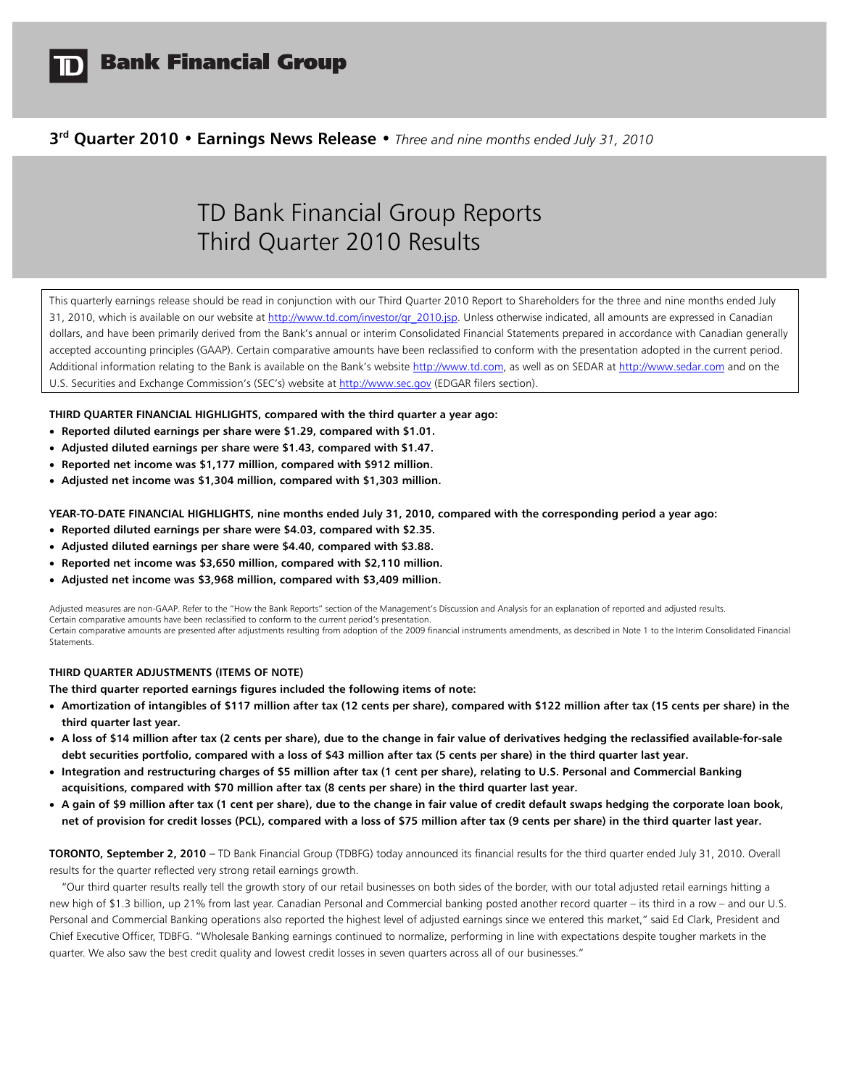

# **3rd Quarter 2010 • Earnings News Release •** *Three and nine months ended July 31, 2010*

# TD Bank Financial Group Reports Third Quarter 2010 Results

This quarterly earnings release should be read in conjunction with our Third Quarter 2010 Report to Shareholders for the three and nine months ended July 31, 2010, which is available on our website at http://www.td.com/investor/qr\_2010.jsp. Unless otherwise indicated, all amounts are expressed in Canadian dollars, and have been primarily derived from the Bank's annual or interim Consolidated Financial Statements prepared in accordance with Canadian generally accepted accounting principles (GAAP). Certain comparative amounts have been reclassified to conform with the presentation adopted in the current period. Additional information relating to the Bank is available on the Bank's website http://www.td.com, as well as on SEDAR at http://www.sedar.com and on the U.S. Securities and Exchange Commission's (SEC's) website at http://www.sec.gov (EDGAR filers section).

**THIRD QUARTER FINANCIAL HIGHLIGHTS, compared with the third quarter a year ago:** 

- **Reported diluted earnings per share were \$1.29, compared with \$1.01.**
- **Adjusted diluted earnings per share were \$1.43, compared with \$1.47.**
- **Reported net income was \$1,177 million, compared with \$912 million.**
- **Adjusted net income was \$1,304 million, compared with \$1,303 million.**

**YEAR-TO-DATE FINANCIAL HIGHLIGHTS, nine months ended July 31, 2010, compared with the corresponding period a year ago:** 

- **Reported diluted earnings per share were \$4.03, compared with \$2.35.**
- **Adjusted diluted earnings per share were \$4.40, compared with \$3.88.**
- **Reported net income was \$3,650 million, compared with \$2,110 million.**
- **Adjusted net income was \$3,968 million, compared with \$3,409 million.**

Adjusted measures are non-GAAP. Refer to the "How the Bank Reports" section of the Management's Discussion and Analysis for an explanation of reported and adjusted results. Certain comparative amounts have been reclassified to conform to the current period's presentation. Certain comparative amounts are presented after adjustments resulting from adoption of the 2009 financial instruments amendments, as described in Note 1 to the Interim Consolidated Financial Statements.

# **THIRD QUARTER ADJUSTMENTS (ITEMS OF NOTE)**

**The third quarter reported earnings figures included the following items of note:** 

- **Amortization of intangibles of \$117 million after tax (12 cents per share), compared with \$122 million after tax (15 cents per share) in the third quarter last year.**
- **A loss of \$14 million after tax (2 cents per share), due to the change in fair value of derivatives hedging the reclassified available-for-sale debt securities portfolio, compared with a loss of \$43 million after tax (5 cents per share) in the third quarter last year.**
- **Integration and restructuring charges of \$5 million after tax (1 cent per share), relating to U.S. Personal and Commercial Banking acquisitions, compared with \$70 million after tax (8 cents per share) in the third quarter last year.**
- **A gain of \$9 million after tax (1 cent per share), due to the change in fair value of credit default swaps hedging the corporate loan book, net of provision for credit losses (PCL), compared with a loss of \$75 million after tax (9 cents per share) in the third quarter last year.**

**TORONTO, September 2, 2010 –** TD Bank Financial Group (TDBFG) today announced its financial results for the third quarter ended July 31, 2010. Overall results for the quarter reflected very strong retail earnings growth.

 "Our third quarter results really tell the growth story of our retail businesses on both sides of the border, with our total adjusted retail earnings hitting a new high of \$1.3 billion, up 21% from last year. Canadian Personal and Commercial banking posted another record quarter – its third in a row – and our U.S. Personal and Commercial Banking operations also reported the highest level of adjusted earnings since we entered this market," said Ed Clark, President and Chief Executive Officer, TDBFG. "Wholesale Banking earnings continued to normalize, performing in line with expectations despite tougher markets in the quarter. We also saw the best credit quality and lowest credit losses in seven quarters across all of our businesses."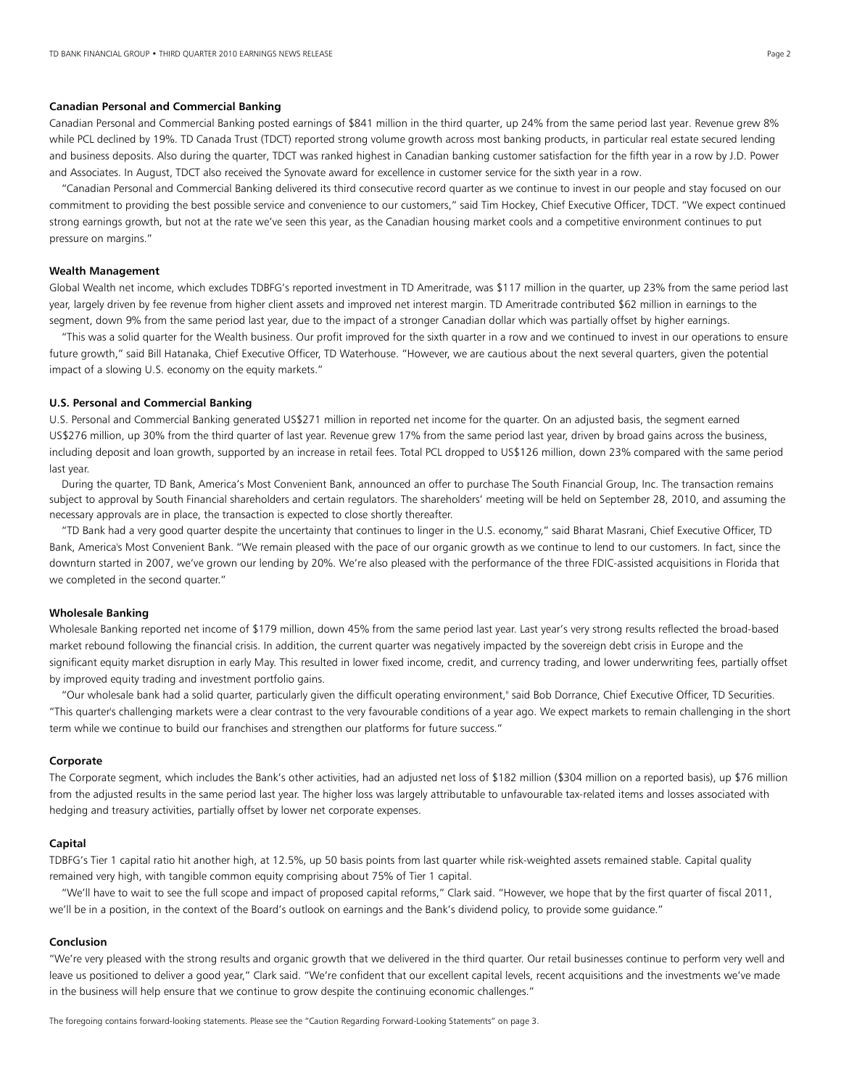# **Canadian Personal and Commercial Banking**

Canadian Personal and Commercial Banking posted earnings of \$841 million in the third quarter, up 24% from the same period last year. Revenue grew 8% while PCL declined by 19%. TD Canada Trust (TDCT) reported strong volume growth across most banking products, in particular real estate secured lending and business deposits. Also during the quarter, TDCT was ranked highest in Canadian banking customer satisfaction for the fifth year in a row by J.D. Power and Associates. In August, TDCT also received the Synovate award for excellence in customer service for the sixth year in a row.

 "Canadian Personal and Commercial Banking delivered its third consecutive record quarter as we continue to invest in our people and stay focused on our commitment to providing the best possible service and convenience to our customers," said Tim Hockey, Chief Executive Officer, TDCT. "We expect continued strong earnings growth, but not at the rate we've seen this year, as the Canadian housing market cools and a competitive environment continues to put pressure on margins."

# **Wealth Management**

Global Wealth net income, which excludes TDBFG's reported investment in TD Ameritrade, was \$117 million in the quarter, up 23% from the same period last year, largely driven by fee revenue from higher client assets and improved net interest margin. TD Ameritrade contributed \$62 million in earnings to the segment, down 9% from the same period last year, due to the impact of a stronger Canadian dollar which was partially offset by higher earnings.

 "This was a solid quarter for the Wealth business. Our profit improved for the sixth quarter in a row and we continued to invest in our operations to ensure future growth," said Bill Hatanaka, Chief Executive Officer, TD Waterhouse. "However, we are cautious about the next several quarters, given the potential impact of a slowing U.S. economy on the equity markets."

#### **U.S. Personal and Commercial Banking**

U.S. Personal and Commercial Banking generated US\$271 million in reported net income for the quarter. On an adjusted basis, the segment earned US\$276 million, up 30% from the third quarter of last year. Revenue grew 17% from the same period last year, driven by broad gains across the business, including deposit and loan growth, supported by an increase in retail fees. Total PCL dropped to US\$126 million, down 23% compared with the same period last year.

 During the quarter, TD Bank, America's Most Convenient Bank, announced an offer to purchase The South Financial Group, Inc. The transaction remains subject to approval by South Financial shareholders and certain regulators. The shareholders' meeting will be held on September 28, 2010, and assuming the necessary approvals are in place, the transaction is expected to close shortly thereafter.

"TD Bank had a very good quarter despite the uncertainty that continues to linger in the U.S. economy," said Bharat Masrani, Chief Executive Officer, TD Bank, America's Most Convenient Bank. "We remain pleased with the pace of our organic growth as we continue to lend to our customers. In fact, since the downturn started in 2007, we've grown our lending by 20%. We're also pleased with the performance of the three FDIC-assisted acquisitions in Florida that we completed in the second quarter."

# **Wholesale Banking**

Wholesale Banking reported net income of \$179 million, down 45% from the same period last year. Last year's very strong results reflected the broad-based market rebound following the financial crisis. In addition, the current quarter was negatively impacted by the sovereign debt crisis in Europe and the significant equity market disruption in early May. This resulted in lower fixed income, credit, and currency trading, and lower underwriting fees, partially offset by improved equity trading and investment portfolio gains.

 "Our wholesale bank had a solid quarter, particularly given the difficult operating environment," said Bob Dorrance, Chief Executive Officer, TD Securities. "This quarter's challenging markets were a clear contrast to the very favourable conditions of a year ago. We expect markets to remain challenging in the short term while we continue to build our franchises and strengthen our platforms for future success."

# **Corporate**

The Corporate segment, which includes the Bank's other activities, had an adjusted net loss of \$182 million (\$304 million on a reported basis), up \$76 million from the adjusted results in the same period last year. The higher loss was largely attributable to unfavourable tax-related items and losses associated with hedging and treasury activities, partially offset by lower net corporate expenses.

#### **Capital**

TDBFG's Tier 1 capital ratio hit another high, at 12.5%, up 50 basis points from last quarter while risk-weighted assets remained stable. Capital quality remained very high, with tangible common equity comprising about 75% of Tier 1 capital.

 "We'll have to wait to see the full scope and impact of proposed capital reforms," Clark said. "However, we hope that by the first quarter of fiscal 2011, we'll be in a position, in the context of the Board's outlook on earnings and the Bank's dividend policy, to provide some guidance."

#### **Conclusion**

"We're very pleased with the strong results and organic growth that we delivered in the third quarter. Our retail businesses continue to perform very well and leave us positioned to deliver a good year," Clark said. "We're confident that our excellent capital levels, recent acquisitions and the investments we've made in the business will help ensure that we continue to grow despite the continuing economic challenges."

The foregoing contains forward-looking statements. Please see the "Caution Regarding Forward-Looking Statements" on page 3.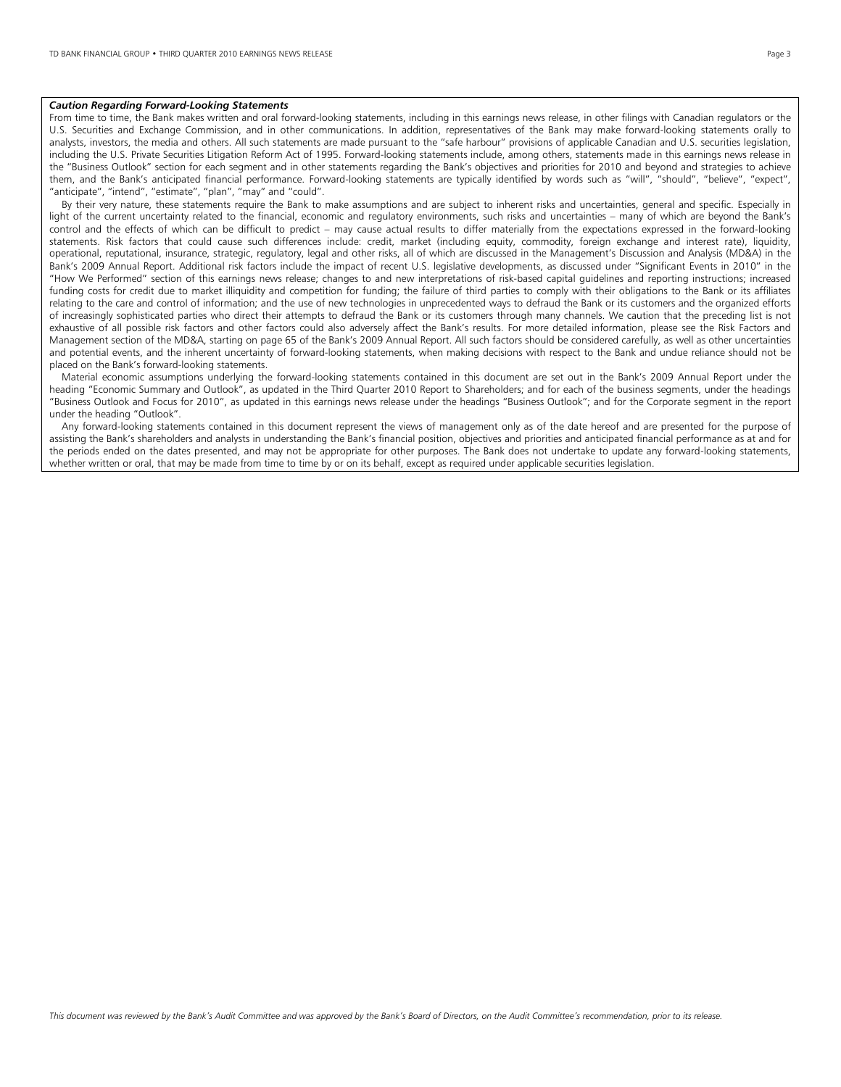#### *Caution Regarding Forward-Looking Statements*

From time to time, the Bank makes written and oral forward-looking statements, including in this earnings news release, in other filings with Canadian regulators or the U.S. Securities and Exchange Commission, and in other communications. In addition, representatives of the Bank may make forward-looking statements orally to analysts, investors, the media and others. All such statements are made pursuant to the "safe harbour" provisions of applicable Canadian and U.S. securities legislation, including the U.S. Private Securities Litigation Reform Act of 1995. Forward-looking statements include, among others, statements made in this earnings news release in the "Business Outlook" section for each segment and in other statements regarding the Bank's objectives and priorities for 2010 and beyond and strategies to achieve them, and the Bank's anticipated financial performance. Forward-looking statements are typically identified by words such as "will", "should", "believe", "expect", "anticipate", "intend", "estimate", "plan", "may" and "could".

 By their very nature, these statements require the Bank to make assumptions and are subject to inherent risks and uncertainties, general and specific. Especially in light of the current uncertainty related to the financial, economic and regulatory environments, such risks and uncertainties – many of which are beyond the Bank's control and the effects of which can be difficult to predict – may cause actual results to differ materially from the expectations expressed in the forward-looking statements. Risk factors that could cause such differences include: credit, market (including equity, commodity, foreign exchange and interest rate), liquidity, operational, reputational, insurance, strategic, regulatory, legal and other risks, all of which are discussed in the Management's Discussion and Analysis (MD&A) in the Bank's 2009 Annual Report. Additional risk factors include the impact of recent U.S. legislative developments, as discussed under "Significant Events in 2010" in the "How We Performed" section of this earnings news release; changes to and new interpretations of risk-based capital guidelines and reporting instructions; increased funding costs for credit due to market illiquidity and competition for funding; the failure of third parties to comply with their obligations to the Bank or its affiliates relating to the care and control of information; and the use of new technologies in unprecedented ways to defraud the Bank or its customers and the organized efforts of increasingly sophisticated parties who direct their attempts to defraud the Bank or its customers through many channels. We caution that the preceding list is not exhaustive of all possible risk factors and other factors could also adversely affect the Bank's results. For more detailed information, please see the Risk Factors and Management section of the MD&A, starting on page 65 of the Bank's 2009 Annual Report. All such factors should be considered carefully, as well as other uncertainties and potential events, and the inherent uncertainty of forward-looking statements, when making decisions with respect to the Bank and undue reliance should not be placed on the Bank's forward-looking statements.

 Material economic assumptions underlying the forward-looking statements contained in this document are set out in the Bank's 2009 Annual Report under the heading "Economic Summary and Outlook", as updated in the Third Quarter 2010 Report to Shareholders; and for each of the business segments, under the headings "Business Outlook and Focus for 2010", as updated in this earnings news release under the headings "Business Outlook"; and for the Corporate segment in the report under the heading "Outlook".

 Any forward-looking statements contained in this document represent the views of management only as of the date hereof and are presented for the purpose of assisting the Bank's shareholders and analysts in understanding the Bank's financial position, objectives and priorities and anticipated financial performance as at and for the periods ended on the dates presented, and may not be appropriate for other purposes. The Bank does not undertake to update any forward-looking statements, whether written or oral, that may be made from time to time by or on its behalf, except as required under applicable securities legislation.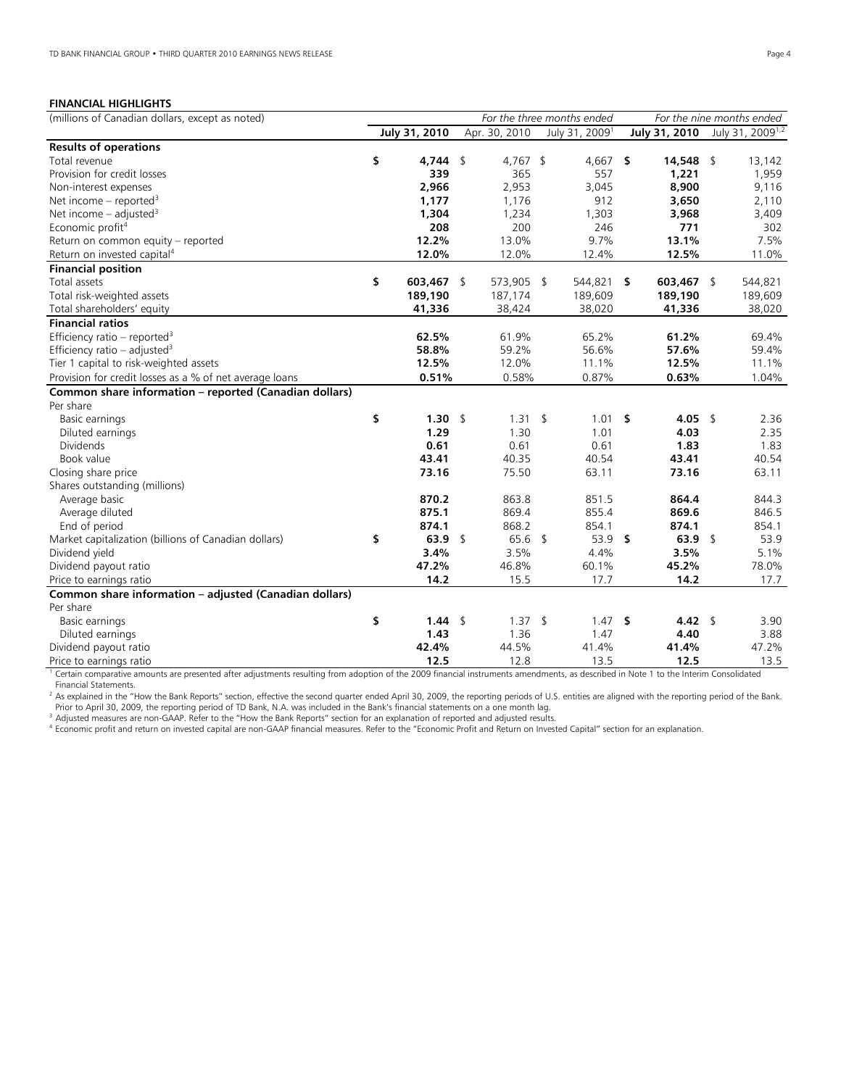# **FINANCIAL HIGHLIGHTS**

| (millions of Canadian dollars, except as noted)         | For the three months ended |                       |  |                   | For the nine months ended  |     |               |    |                              |
|---------------------------------------------------------|----------------------------|-----------------------|--|-------------------|----------------------------|-----|---------------|----|------------------------------|
|                                                         |                            | July 31, 2010         |  | Apr. 30, 2010     | July 31, 2009 <sup>1</sup> |     | July 31, 2010 |    | July 31, 2009 <sup>1,2</sup> |
| <b>Results of operations</b>                            |                            |                       |  |                   |                            |     |               |    |                              |
| Total revenue                                           | \$                         | 4,744 \$              |  | $4,767$ \$        | 4,667 \$                   |     | 14,548        | \$ | 13,142                       |
| Provision for credit losses                             |                            | 339                   |  | 365               | 557                        |     | 1,221         |    | 1,959                        |
| Non-interest expenses                                   |                            | 2,966                 |  | 2,953             | 3,045                      |     | 8,900         |    | 9,116                        |
| Net income – reported <sup>3</sup>                      |                            | 1,177                 |  | 1,176             | 912                        |     | 3,650         |    | 2,110                        |
| Net income – adjusted <sup>3</sup>                      |                            | 1,304                 |  | 1,234             | 1,303                      |     | 3,968         |    | 3,409                        |
| Economic profit <sup>4</sup>                            |                            | 208                   |  | 200               | 246                        |     | 771           |    | 302                          |
| Return on common equity - reported                      |                            | 12.2%                 |  | 13.0%             | 9.7%                       |     | 13.1%         |    | 7.5%                         |
| Return on invested capital <sup>4</sup>                 |                            | 12.0%                 |  | 12.0%             | 12.4%                      |     | 12.5%         |    | 11.0%                        |
| <b>Financial position</b>                               |                            |                       |  |                   |                            |     |               |    |                              |
| Total assets                                            | \$                         | 603,467 \$            |  | 573,905 \$        | 544,821                    | -\$ | 603,467 \$    |    | 544,821                      |
| Total risk-weighted assets                              |                            | 189,190               |  | 187,174           | 189,609                    |     | 189,190       |    | 189,609                      |
| Total shareholders' equity                              |                            | 41,336                |  | 38,424            | 38,020                     |     | 41,336        |    | 38,020                       |
| <b>Financial ratios</b>                                 |                            |                       |  |                   |                            |     |               |    |                              |
| Efficiency ratio - reported <sup>3</sup>                |                            | 62.5%                 |  | 61.9%             | 65.2%                      |     | 61.2%         |    | 69.4%                        |
| Efficiency ratio - adjusted <sup>3</sup>                |                            | 58.8%                 |  | 59.2%             | 56.6%                      |     | 57.6%         |    | 59.4%                        |
| Tier 1 capital to risk-weighted assets                  |                            | 12.5%                 |  | 12.0%             | 11.1%                      |     | 12.5%         |    | 11.1%                        |
| Provision for credit losses as a % of net average loans |                            | 0.51%                 |  | 0.58%             | 0.87%                      |     | 0.63%         |    | 1.04%                        |
| Common share information - reported (Canadian dollars)  |                            |                       |  |                   |                            |     |               |    |                              |
| Per share                                               |                            |                       |  |                   |                            |     |               |    |                              |
| Basic earnings                                          | \$                         | $1.30 \; \; \; \;$ \$ |  | $1.31 \quad$ \$   | $1.01$ \$                  |     | 4.05 \$       |    | 2.36                         |
| Diluted earnings                                        |                            | 1.29                  |  | 1.30              | 1.01                       |     | 4.03          |    | 2.35                         |
| <b>Dividends</b>                                        |                            | 0.61                  |  | 0.61              | 0.61                       |     | 1.83          |    | 1.83                         |
| Book value                                              |                            | 43.41                 |  | 40.35             | 40.54                      |     | 43.41         |    | 40.54                        |
| Closing share price                                     |                            | 73.16                 |  | 75.50             | 63.11                      |     | 73.16         |    | 63.11                        |
| Shares outstanding (millions)                           |                            |                       |  |                   |                            |     |               |    |                              |
| Average basic                                           |                            | 870.2                 |  | 863.8             | 851.5                      |     | 864.4         |    | 844.3                        |
| Average diluted                                         |                            | 875.1                 |  | 869.4             | 855.4                      |     | 869.6         |    | 846.5                        |
| End of period                                           |                            | 874.1                 |  | 868.2             | 854.1                      |     | 874.1         |    | 854.1                        |
| Market capitalization (billions of Canadian dollars)    | \$                         | 63.9 \$               |  | 65.6 <sup>5</sup> | $53.9$ \$                  |     | 63.9 \$       |    | 53.9                         |
| Dividend yield                                          |                            | 3.4%                  |  | 3.5%              | 4.4%                       |     | 3.5%          |    | 5.1%                         |
| Dividend payout ratio                                   |                            | 47.2%                 |  | 46.8%             | 60.1%                      |     | 45.2%         |    | 78.0%                        |
| Price to earnings ratio                                 |                            | 14.2                  |  | 15.5              | 17.7                       |     | 14.2          |    | 17.7                         |
| Common share information - adjusted (Canadian dollars)  |                            |                       |  |                   |                            |     |               |    |                              |
| Per share                                               |                            |                       |  |                   |                            |     |               |    |                              |
| Basic earnings                                          | \$                         | 1.44 \$               |  | $1.37 \quad$ \$   | $1.47$ \$                  |     | 4.42 \$       |    | 3.90                         |
| Diluted earnings                                        |                            | 1.43                  |  | 1.36              | 1.47                       |     | 4.40          |    | 3.88                         |
| Dividend payout ratio                                   |                            | 42.4%                 |  | 44.5%             | 41.4%                      |     | 41.4%         |    | 47.2%                        |
| Price to earnings ratio                                 |                            | 12.5                  |  | 12.8              | 13.5                       |     | 12.5          |    | 13.5                         |

<sup>1</sup> Certain comparative amounts are presented after adjustments resulting from adoption of the 2009 financial instruments amendments, as described in Note 1 to the Interim Consolidated

Financial Statements.<br><sup>2</sup> As explained in the "How the Bank Reports" section, effective the second quarter ended April 30, 2009, the reporting periods of U.S. entities are aligned with the reporting period of the Bank. Prior to April 30, 2009, the reporting period of TD Bank, N.A. was included in the Bank's financial statements on a one month lag.<br>Adjusted measures are non-GAAP. Refer to the "How the Bank Reports" section for an explanat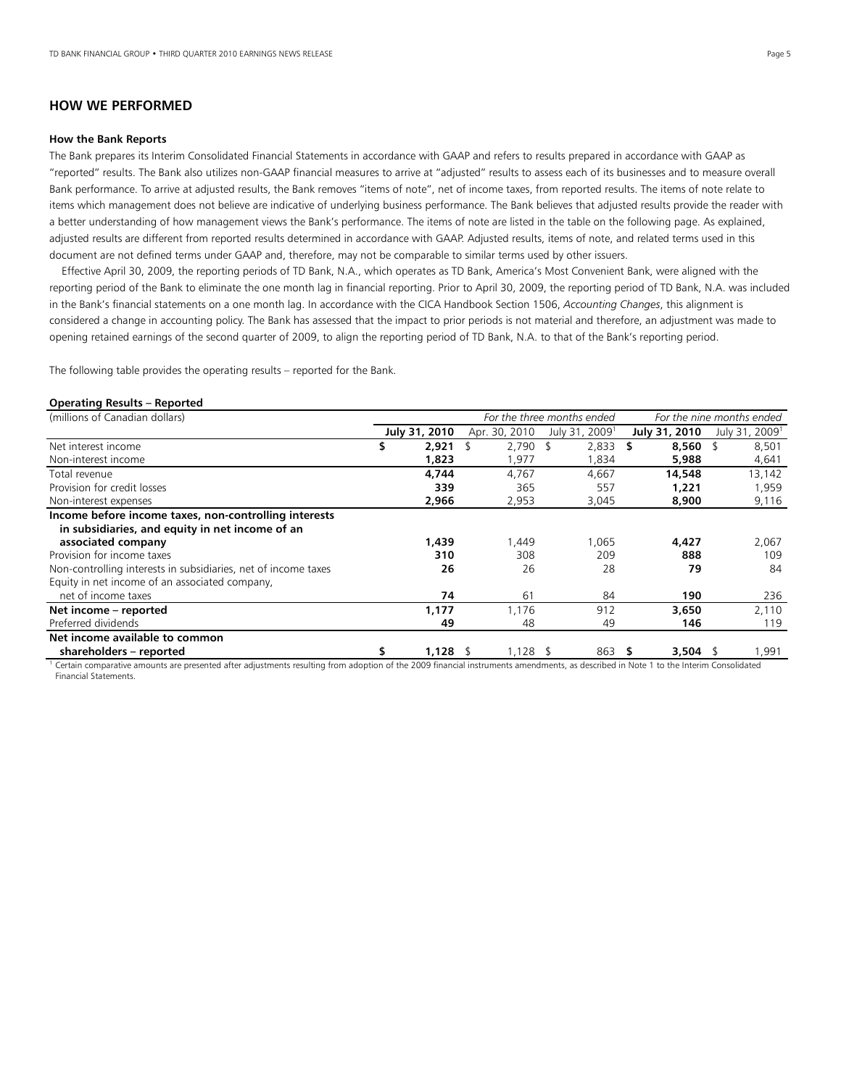# **HOW WE PERFORMED**

#### **How the Bank Reports**

The Bank prepares its Interim Consolidated Financial Statements in accordance with GAAP and refers to results prepared in accordance with GAAP as "reported" results. The Bank also utilizes non-GAAP financial measures to arrive at "adjusted" results to assess each of its businesses and to measure overall Bank performance. To arrive at adjusted results, the Bank removes "items of note", net of income taxes, from reported results. The items of note relate to items which management does not believe are indicative of underlying business performance. The Bank believes that adjusted results provide the reader with a better understanding of how management views the Bank's performance. The items of note are listed in the table on the following page. As explained, adjusted results are different from reported results determined in accordance with GAAP. Adjusted results, items of note, and related terms used in this document are not defined terms under GAAP and, therefore, may not be comparable to similar terms used by other issuers.

 Effective April 30, 2009, the reporting periods of TD Bank, N.A., which operates as TD Bank, America's Most Convenient Bank, were aligned with the reporting period of the Bank to eliminate the one month lag in financial reporting. Prior to April 30, 2009, the reporting period of TD Bank, N.A. was included in the Bank's financial statements on a one month lag. In accordance with the CICA Handbook Section 1506, *Accounting Changes*, this alignment is considered a change in accounting policy. The Bank has assessed that the impact to prior periods is not material and therefore, an adjustment was made to opening retained earnings of the second quarter of 2009, to align the reporting period of TD Bank, N.A. to that of the Bank's reporting period.

The following table provides the operating results – reported for the Bank.

#### **Operating Results – Reported**

| (millions of Canadian dollars)                                                                                                                               |     |               | For the three months ended |               |  |                            | For the nine months ended |              |                            |
|--------------------------------------------------------------------------------------------------------------------------------------------------------------|-----|---------------|----------------------------|---------------|--|----------------------------|---------------------------|--------------|----------------------------|
|                                                                                                                                                              |     | July 31, 2010 |                            | Apr. 30, 2010 |  | July 31, 2009 <sup>1</sup> | July 31, 2010             |              | July 31, 2009 <sup>1</sup> |
| Net interest income                                                                                                                                          | \$. | 2.921         |                            | $2,790$ \$    |  | 2,833                      | S                         | $8,560$ \$   | 8,501                      |
| Non-interest income                                                                                                                                          |     | 1,823         |                            | 1,977         |  | 1,834                      |                           | 5,988        | 4,641                      |
| Total revenue                                                                                                                                                |     | 4.744         |                            | 4.767         |  | 4.667                      |                           | 14,548       | 13,142                     |
| Provision for credit losses                                                                                                                                  |     | 339           |                            | 365           |  | 557                        |                           | 1,221        | 1,959                      |
| Non-interest expenses                                                                                                                                        |     | 2,966         |                            | 2,953         |  | 3,045                      |                           | 8,900        | 9,116                      |
| Income before income taxes, non-controlling interests<br>in subsidiaries, and equity in net income of an<br>associated company<br>Provision for income taxes |     | 1,439<br>310  |                            | 1.449<br>308  |  | 1.065<br>209               |                           | 4,427<br>888 | 2,067<br>109               |
| Non-controlling interests in subsidiaries, net of income taxes                                                                                               |     | 26            |                            | 26            |  | 28                         |                           | 79           | 84                         |
| Equity in net income of an associated company,<br>net of income taxes                                                                                        |     | 74            |                            | 61            |  | 84                         |                           | 190          | 236                        |
| Net income - reported                                                                                                                                        |     | 1,177         |                            | 1.176         |  | 912                        |                           | 3,650        | 2,110                      |
| Preferred dividends                                                                                                                                          |     | 49            |                            | 48            |  | 49                         |                           | 146          | 119                        |
| Net income available to common                                                                                                                               |     |               |                            |               |  |                            |                           |              |                            |
| shareholders – reported                                                                                                                                      |     | $1,128$ \$    |                            | $1,128$ \$    |  | 863                        |                           | 3,504 \$     | 1,991                      |

<sup>1</sup> Certain comparative amounts are presented after adjustments resulting from adoption of the 2009 financial instruments amendments, as described in Note 1 to the Interim Consolidated Financial Statements.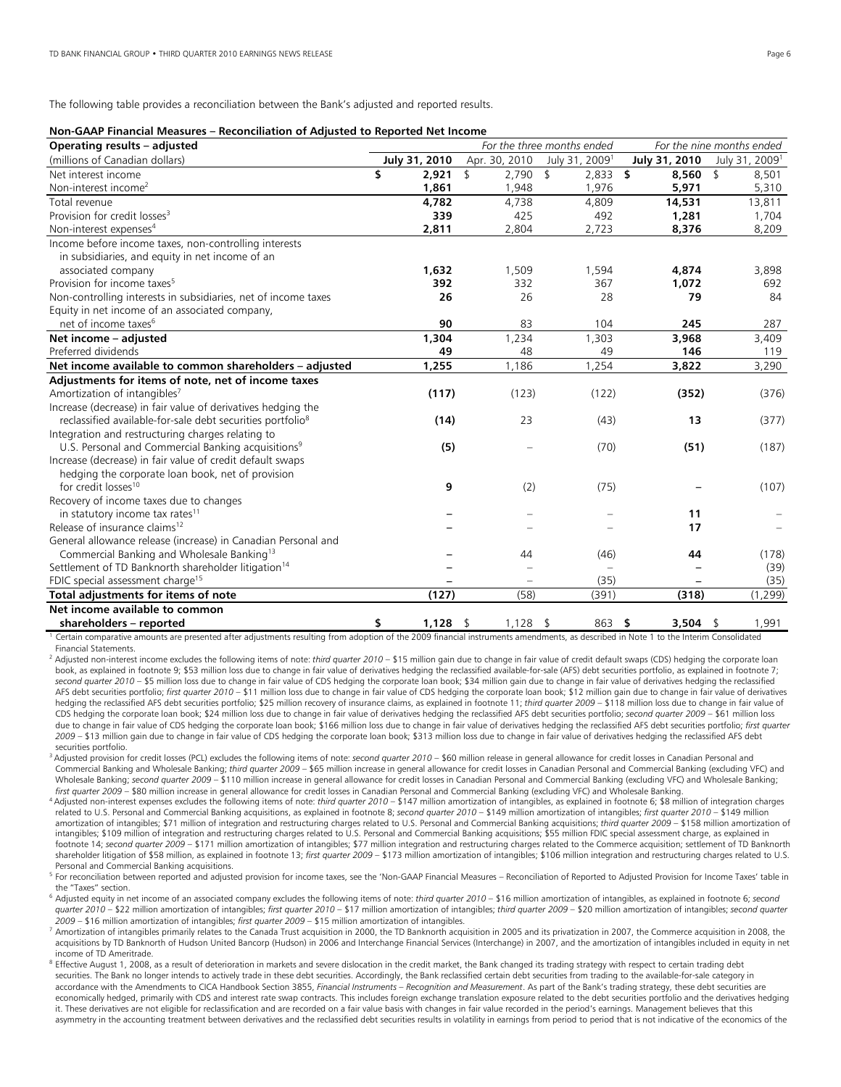The following table provides a reconciliation between the Bank's adjusted and reported results.

# **Non-GAAP Financial Measures – Reconciliation of Adjusted to Reported Net Income**

| $1001$ and the control increased to incremental control and $1000$ and $1000$<br>Operating results - adjusted |               | For the three months ended |                |                            |                | For the nine months ended  |
|---------------------------------------------------------------------------------------------------------------|---------------|----------------------------|----------------|----------------------------|----------------|----------------------------|
| (millions of Canadian dollars)                                                                                | July 31, 2010 | Apr. 30, 2010              |                | July 31, 2009 <sup>1</sup> | July 31, 2010  | July 31, 2009 <sup>1</sup> |
| Net interest income                                                                                           | \$<br>2,921   | \$<br>2,790                | $\mathfrak{S}$ | $2,833$ \$                 | 8,560          | $\mathsf{\$}$<br>8,501     |
| Non-interest income <sup>2</sup>                                                                              | 1,861         | 1,948                      |                | 1,976                      | 5,971          | 5,310                      |
| Total revenue                                                                                                 | 4,782         | 4.738                      |                | 4,809                      | 14,531         | 13,811                     |
| Provision for credit losses <sup>3</sup>                                                                      | 339           | 425                        |                | 492                        | 1,281          | 1,704                      |
| Non-interest expenses <sup>4</sup>                                                                            | 2,811         | 2,804                      |                | 2,723                      | 8,376          | 8,209                      |
| Income before income taxes, non-controlling interests                                                         |               |                            |                |                            |                |                            |
| in subsidiaries, and equity in net income of an                                                               |               |                            |                |                            |                |                            |
| associated company                                                                                            | 1,632         | 1,509                      |                | 1,594                      | 4,874          | 3,898                      |
| Provision for income taxes <sup>5</sup>                                                                       | 392           | 332                        |                | 367                        | 1,072          | 692                        |
| Non-controlling interests in subsidiaries, net of income taxes                                                | 26            | 26                         |                | 28                         | 79             | 84                         |
| Equity in net income of an associated company,                                                                |               |                            |                |                            |                |                            |
| net of income taxes <sup>6</sup>                                                                              | 90            | 83                         |                | 104                        | 245            | 287                        |
| Net income - adjusted                                                                                         | 1,304         | 1,234                      |                | 1,303                      | 3,968          | 3,409                      |
| Preferred dividends                                                                                           | 49            | 48                         |                | 49                         | 146            | 119                        |
| Net income available to common shareholders - adjusted                                                        | 1,255         | 1,186                      |                | 1,254                      | 3,822          | 3,290                      |
| Adjustments for items of note, net of income taxes                                                            |               |                            |                |                            |                |                            |
| Amortization of intangibles <sup>7</sup>                                                                      | (117)         | (123)                      |                | (122)                      | (352)          | (376)                      |
| Increase (decrease) in fair value of derivatives hedging the                                                  |               |                            |                |                            |                |                            |
| reclassified available-for-sale debt securities portfolio <sup>8</sup>                                        | (14)          | 23                         |                | (43)                       | 13             | (377)                      |
| Integration and restructuring charges relating to                                                             |               |                            |                |                            |                |                            |
| U.S. Personal and Commercial Banking acquisitions <sup>9</sup>                                                | (5)           |                            |                | (70)                       | (51)           | (187)                      |
| Increase (decrease) in fair value of credit default swaps                                                     |               |                            |                |                            |                |                            |
| hedging the corporate loan book, net of provision                                                             |               |                            |                |                            |                |                            |
| for credit losses <sup>10</sup>                                                                               | 9             | (2)                        |                | (75)                       |                | (107)                      |
| Recovery of income taxes due to changes                                                                       |               |                            |                |                            |                |                            |
| in statutory income tax rates <sup>11</sup>                                                                   |               |                            |                |                            | 11             |                            |
| Release of insurance claims <sup>12</sup>                                                                     |               |                            |                |                            | 17             |                            |
| General allowance release (increase) in Canadian Personal and                                                 |               |                            |                |                            |                |                            |
| Commercial Banking and Wholesale Banking <sup>13</sup>                                                        |               | 44                         |                | (46)                       | 44             | (178)                      |
| Settlement of TD Banknorth shareholder litigation <sup>14</sup>                                               |               |                            |                | $\overline{\phantom{a}}$   |                | (39)                       |
| FDIC special assessment charge <sup>15</sup>                                                                  |               |                            |                | (35)                       |                | (35)                       |
| Total adjustments for items of note                                                                           | (127)         | (58)                       |                | (391)                      | (318)          | (1, 299)                   |
| Net income available to common                                                                                |               |                            |                |                            |                |                            |
| shareholders - reported                                                                                       | \$<br>1,128   | \$<br>1,128                | \$             | 863                        | \$<br>3,504 \$ | 1,991                      |

<sup>1</sup> Certain comparative amounts are presented after adjustments resulting from adoption of the 2009 financial instruments amendments, as described in Note 1 to the Interim Consolidated Financial Statements.

<sup>2</sup> Adjusted non-interest income excludes the following items of note: *third quarter 2010* – \$15 million gain due to change in fair value of credit default swaps (CDS) hedging the corporate loan book, as explained in footnote 9; \$53 million loss due to change in fair value of derivatives hedging the reclassified available-for-sale (AFS) debt securities portfolio, as explained in footnote 7; second quarter 2010 – \$5 million loss due to change in fair value of CDS hedging the corporate loan book; \$34 million gain due to change in fair value of derivatives hedging the reclassified AFS debt securities portfolio; *first quarter 2010* – \$11 million loss due to change in fair value of CDS hedging the corporate loan book; \$12 million gain due to change in fair value of derivatives hedging the reclassified AFS debt securities portfolio; \$25 million recovery of insurance claims, as explained in footnote 11; *third quarter 2009* – \$118 million loss due to change in fair value of CDS hedging the corporate loan book; \$24 million loss due to change in fair value of derivatives hedging the reclassified AFS debt securities portfolio; *second quarter 2009* – \$61 million loss due to change in fair value of CDS hedging the corporate loan book; \$166 million loss due to change in fair value of derivatives hedging the reclassified AFS debt securities portfolio; *first quarter 2009* – \$13 million gain due to change in fair value of CDS hedging the corporate loan book; \$313 million loss due to change in fair value of derivatives hedging the reclassified AFS debt securities portfolio.

3 Adjusted provision for credit losses (PCL) excludes the following items of note: *second quarter 2010* – \$60 million release in general allowance for credit losses in Canadian Personal and Commercial Banking and Wholesale Banking; *third quarter 2009* – \$65 million increase in general allowance for credit losses in Canadian Personal and Commercial Banking (excluding VFC) and Wholesale Banking; *second quarter 2009* – \$110 million increase in general allowance for credit losses in Canadian Personal and Commercial Banking (excluding VFC) and Wholesale Banking;<br>*first quarter 2009* – \$80 million

4 Adjusted non-interest expenses excludes the following items of note: third quarter 2010 - \$147 million amortization of intangibles, as explained in footnote 6; \$8 million of integration charges related to U.S. Personal and Commercial Banking acquisitions, as explained in footnote 8; *second quarter 2010* – \$149 million amortization of intangibles; *first quarter 2010* – \$149 million amortization of intangibles; \$71 million of integration and restructuring charges related to U.S. Personal and Commercial Banking acquisitions; *third quarter 2009* – \$158 million amortization of intangibles; \$109 million of integration and restructuring charges related to U.S. Personal and Commercial Banking acquisitions; \$55 million FDIC special assessment charge, as explained in footnote 14; *second quarter 2009* – \$171 million amortization of intangibles; \$77 million integration and restructuring charges related to the Commerce acquisition; settlement of TD Banknorth shareholder litigation of \$58 million, as explained in footnote 13; *first quarter 2009* – \$173 million amortization of intangibles; \$106 million integration and restructuring charges related to U.S. Personal and Commercial Banking acquisitions.

<sup>5</sup> For reconciliation between reported and adjusted provision for income taxes, see the 'Non-GAAP Financial Measures – Reconciliation of Reported to Adjusted Provision for Income Taxes' table in the "Taxes" section.

6 Adjusted equity in net income of an associated company excludes the following items of note: *third quarter 2010 –* \$16 million amortization of intangibles, as explained in footnote 6; *second quarter 2010* – \$22 million amortization of intangibles; *first quarter 2010* – \$17 million amortization of intangibles; *third quarter 2009 –* \$20 million amortization of intangibles; *second quarter* 

- 7 Amortization of intangibles primarily relates to the Canada Trust acquisition in 2000, the TD Banknorth acquisition in 2005 and its privatization in 2007, the Commerce acquisition in 2008, the acquisitions by TD Banknorth of Hudson United Bancorp (Hudson) in 2006 and Interchange Financial Services (Interchange) in 2007, and the amortization of intangibles included in equity in net income of TD Ameritrade.
- $8$  Effective August 1, 2008, as a result of deterioration in markets and severe dislocation in the credit market, the Bank changed its trading strategy with respect to certain trading debt securities. The Bank no longer intends to actively trade in these debt securities. Accordingly, the Bank reclassified certain debt securities from trading to the available-for-sale category in accordance with the Amendments to CICA Handbook Section 3855, *Financial Instruments – Recognition and Measurement*. As part of the Bank's trading strategy, these debt securities are economically hedged, primarily with CDS and interest rate swap contracts. This includes foreign exchange translation exposure related to the debt securities portfolio and the derivatives hedging it. These derivatives are not eligible for reclassification and are recorded on a fair value basis with changes in fair value recorded in the period's earnings. Management believes that this asymmetry in the accounting treatment between derivatives and the reclassified debt securities results in volatility in earnings from period to period that is not indicative of the economics of the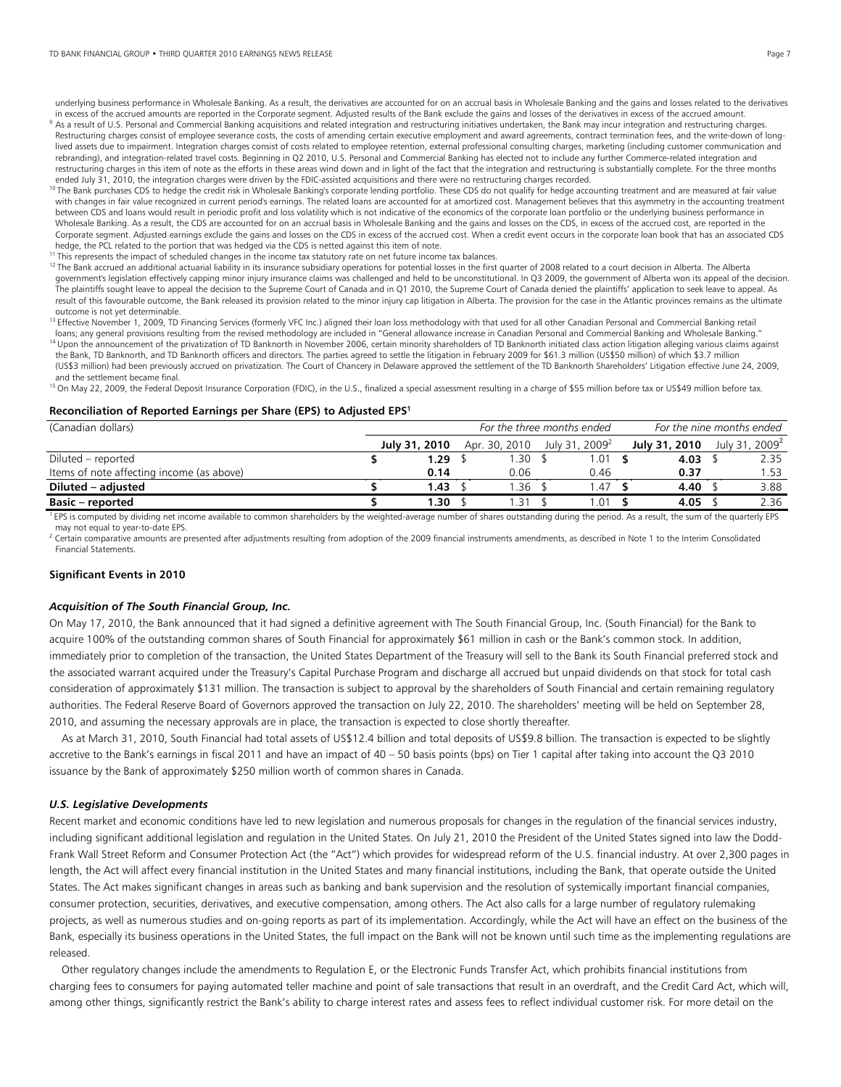#### TD BANK FINANCIAL GROUP • THIRD QUARTER 2010 EARNINGS NEWS RELEASE Page 7

underlying business performance in Wholesale Banking. As a result, the derivatives are accounted for on an accrual basis in Wholesale Banking and the gains and losses related to the derivatives in excess of the accrued amounts are reported in the Corporate segment. Adjusted results of the Bank exclude the gains and losses of the derivatives in excess of the accrued amount.<br><sup>9</sup> As a result of U.S. Personal and Com

- Restructuring charges consist of employee severance costs, the costs of amending certain executive employment and award agreements, contract termination fees, and the write-down of longlived assets due to impairment. Integration charges consist of costs related to employee retention, external professional consulting charges, marketing (including customer communication and rebranding), and integration-related travel costs. Beginning in Q2 2010, U.S. Personal and Commercial Banking has elected not to include any further Commerce-related integration and restructuring charges in this item of note as the efforts in these areas wind down and in light of the fact that the integration and restructuring is substantially complete. For the three months ended July 31, 2010, the integration charges were driven by the FDIC-assisted acquisitions and there were no restructuring charges recorded.<br><sup>10</sup> The Bank purchases CDS to hedge the credit risk in Wholesale Banking's corpo
- with changes in fair value recognized in current period's earnings. The related loans are accounted for at amortized cost. Management believes that this asymmetry in the accounting treatment between CDS and loans would result in periodic profit and loss volatility which is not indicative of the economics of the corporate loan portfolio or the underlying business performance in Wholesale Banking. As a result, the CDS are accounted for on an accrual basis in Wholesale Banking and the gains and losses on the CDS, in excess of the accrued cost, are reported in the Corporate segment. Adjusted earnings exclude the gains and losses on the CDS in excess of the accrued cost. When a credit event occurs in the corporate loan book that has an associated CDS hedge, the PCL related to the portion that was hedged via the CDS is netted against this item of note.<br><sup>11</sup> This represents the impact of scheduled changes in the income tax statutory rate on net future income tax balances
- 
- <sup>12</sup> The Bank accrued an additional actuarial liability in its insurance subsidiary operations for potential losses in the first quarter of 2008 related to a court decision in Alberta. The Alberta government's legislation effectively capping minor injury insurance claims was challenged and held to be unconstitutional. In Q3 2009, the government of Alberta won its appeal of the decision. The plaintiffs sought leave to appeal the decision to the Supreme Court of Canada and in Q1 2010, the Supreme Court of Canada denied the plaintiffs' application to seek leave to appeal. As result of this favourable outcome, the Bank released its provision related to the minor injury cap litigation in Alberta. The provision for the case in the Atlantic provinces remains as the ultimate outcome is not yet determinable.
- <sup>13</sup> Effective November 1, 2009, TD Financing Services (formerly VFC Inc.) aligned their loan loss methodology with that used for all other Canadian Personal and Commercial Banking retail<br>Dans; any general provisions resul <sup>14</sup> Upon the announcement of the privatization of TD Banknorth in November 2006, certain minority shareholders of TD Banknorth initiated class action litigation alleging various claims against
- the Bank, TD Banknorth, and TD Banknorth officers and directors. The parties agreed to settle the litigation in February 2009 for \$61.3 million (US\$50 million) of which \$3.7 million (US\$3 million) had been previously accrued on privatization. The Court of Chancery in Delaware approved the settlement of the TD Banknorth Shareholders' Litigation effective June 24, 2009, and the settlement became final.
- <sup>15</sup> On May 22, 2009, the Federal Deposit Insurance Corporation (FDIC), in the U.S., finalized a special assessment resulting in a charge of \$55 million before tax or US\$49 million before tax.

#### **Reconciliation of Reported Earnings per Share (EPS) to Adjusted EPS1**

| (Canadian dollars)                        | For the three months ended |               |  |               | For the nine months ended  |  |               |  |                            |
|-------------------------------------------|----------------------------|---------------|--|---------------|----------------------------|--|---------------|--|----------------------------|
|                                           |                            | July 31, 2010 |  | Apr. 30, 2010 | July 31, 2009 <sup>2</sup> |  | July 31, 2010 |  | July 31, 2009 <sup>2</sup> |
| Diluted – reported                        |                            | 1.29          |  | .30           | .01                        |  | 4.03          |  | 2.35                       |
| Items of note affecting income (as above) |                            | 0.14          |  | 0.06          | 0.46                       |  | 0.37          |  | .53                        |
| Diluted - adjusted                        |                            | 1.43          |  | .36           | .47                        |  | 4.40          |  | 3.88                       |
| <b>Basic – reported</b>                   |                            | 1.30          |  | 31. ،         | .01                        |  | 4.05          |  | 2.36                       |

<sup>1</sup> EPS is computed by dividing net income available to common shareholders by the weighted-average number of shares outstanding during the period. As a result, the sum of the quarterly EPS may not equal to year-to-date EPS.

<sup>2</sup> Certain comparative amounts are presented after adjustments resulting from adoption of the 2009 financial instruments amendments, as described in Note 1 to the Interim Consolidated Financial Statements.

#### **Significant Events in 2010**

#### *Acquisition of The South Financial Group, Inc.*

On May 17, 2010, the Bank announced that it had signed a definitive agreement with The South Financial Group, Inc. (South Financial) for the Bank to acquire 100% of the outstanding common shares of South Financial for approximately \$61 million in cash or the Bank's common stock. In addition, immediately prior to completion of the transaction, the United States Department of the Treasury will sell to the Bank its South Financial preferred stock and the associated warrant acquired under the Treasury's Capital Purchase Program and discharge all accrued but unpaid dividends on that stock for total cash consideration of approximately \$131 million. The transaction is subject to approval by the shareholders of South Financial and certain remaining regulatory authorities. The Federal Reserve Board of Governors approved the transaction on July 22, 2010. The shareholders' meeting will be held on September 28, 2010, and assuming the necessary approvals are in place, the transaction is expected to close shortly thereafter.

 As at March 31, 2010, South Financial had total assets of US\$12.4 billion and total deposits of US\$9.8 billion. The transaction is expected to be slightly accretive to the Bank's earnings in fiscal 2011 and have an impact of 40 – 50 basis points (bps) on Tier 1 capital after taking into account the Q3 2010 issuance by the Bank of approximately \$250 million worth of common shares in Canada.

#### *U.S. Legislative Developments*

Recent market and economic conditions have led to new legislation and numerous proposals for changes in the regulation of the financial services industry, including significant additional legislation and regulation in the United States. On July 21, 2010 the President of the United States signed into law the Dodd-Frank Wall Street Reform and Consumer Protection Act (the "Act") which provides for widespread reform of the U.S. financial industry. At over 2,300 pages in length, the Act will affect every financial institution in the United States and many financial institutions, including the Bank, that operate outside the United States. The Act makes significant changes in areas such as banking and bank supervision and the resolution of systemically important financial companies, consumer protection, securities, derivatives, and executive compensation, among others. The Act also calls for a large number of regulatory rulemaking projects, as well as numerous studies and on-going reports as part of its implementation. Accordingly, while the Act will have an effect on the business of the Bank, especially its business operations in the United States, the full impact on the Bank will not be known until such time as the implementing regulations are released.

 Other regulatory changes include the amendments to Regulation E, or the Electronic Funds Transfer Act, which prohibits financial institutions from charging fees to consumers for paying automated teller machine and point of sale transactions that result in an overdraft, and the Credit Card Act, which will, among other things, significantly restrict the Bank's ability to charge interest rates and assess fees to reflect individual customer risk. For more detail on the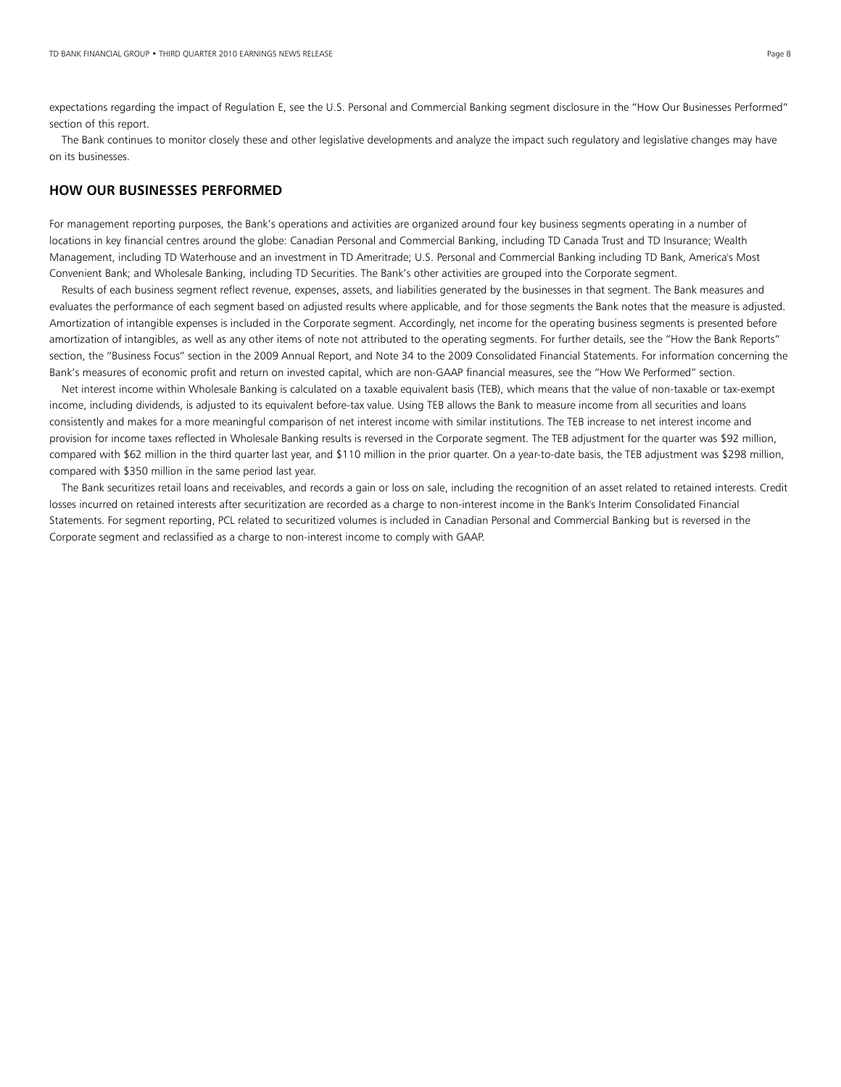expectations regarding the impact of Regulation E, see the U.S. Personal and Commercial Banking segment disclosure in the "How Our Businesses Performed" section of this report.

The Bank continues to monitor closely these and other legislative developments and analyze the impact such regulatory and legislative changes may have on its businesses.

# **HOW OUR BUSINESSES PERFORMED**

For management reporting purposes, the Bank's operations and activities are organized around four key business segments operating in a number of locations in key financial centres around the globe: Canadian Personal and Commercial Banking, including TD Canada Trust and TD Insurance; Wealth Management, including TD Waterhouse and an investment in TD Ameritrade; U.S. Personal and Commercial Banking including TD Bank, America's Most Convenient Bank; and Wholesale Banking, including TD Securities. The Bank's other activities are grouped into the Corporate segment.

 Results of each business segment reflect revenue, expenses, assets, and liabilities generated by the businesses in that segment. The Bank measures and evaluates the performance of each segment based on adjusted results where applicable, and for those segments the Bank notes that the measure is adjusted. Amortization of intangible expenses is included in the Corporate segment. Accordingly, net income for the operating business segments is presented before amortization of intangibles, as well as any other items of note not attributed to the operating segments. For further details, see the "How the Bank Reports" section, the "Business Focus" section in the 2009 Annual Report, and Note 34 to the 2009 Consolidated Financial Statements. For information concerning the Bank's measures of economic profit and return on invested capital, which are non-GAAP financial measures, see the "How We Performed" section.

 Net interest income within Wholesale Banking is calculated on a taxable equivalent basis (TEB), which means that the value of non-taxable or tax-exempt income, including dividends, is adjusted to its equivalent before-tax value. Using TEB allows the Bank to measure income from all securities and loans consistently and makes for a more meaningful comparison of net interest income with similar institutions. The TEB increase to net interest income and provision for income taxes reflected in Wholesale Banking results is reversed in the Corporate segment. The TEB adjustment for the quarter was \$92 million, compared with \$62 million in the third quarter last year, and \$110 million in the prior quarter. On a year-to-date basis, the TEB adjustment was \$298 million, compared with \$350 million in the same period last year.

 The Bank securitizes retail loans and receivables, and records a gain or loss on sale, including the recognition of an asset related to retained interests. Credit losses incurred on retained interests after securitization are recorded as a charge to non-interest income in the Bank's Interim Consolidated Financial Statements. For segment reporting, PCL related to securitized volumes is included in Canadian Personal and Commercial Banking but is reversed in the Corporate segment and reclassified as a charge to non-interest income to comply with GAAP.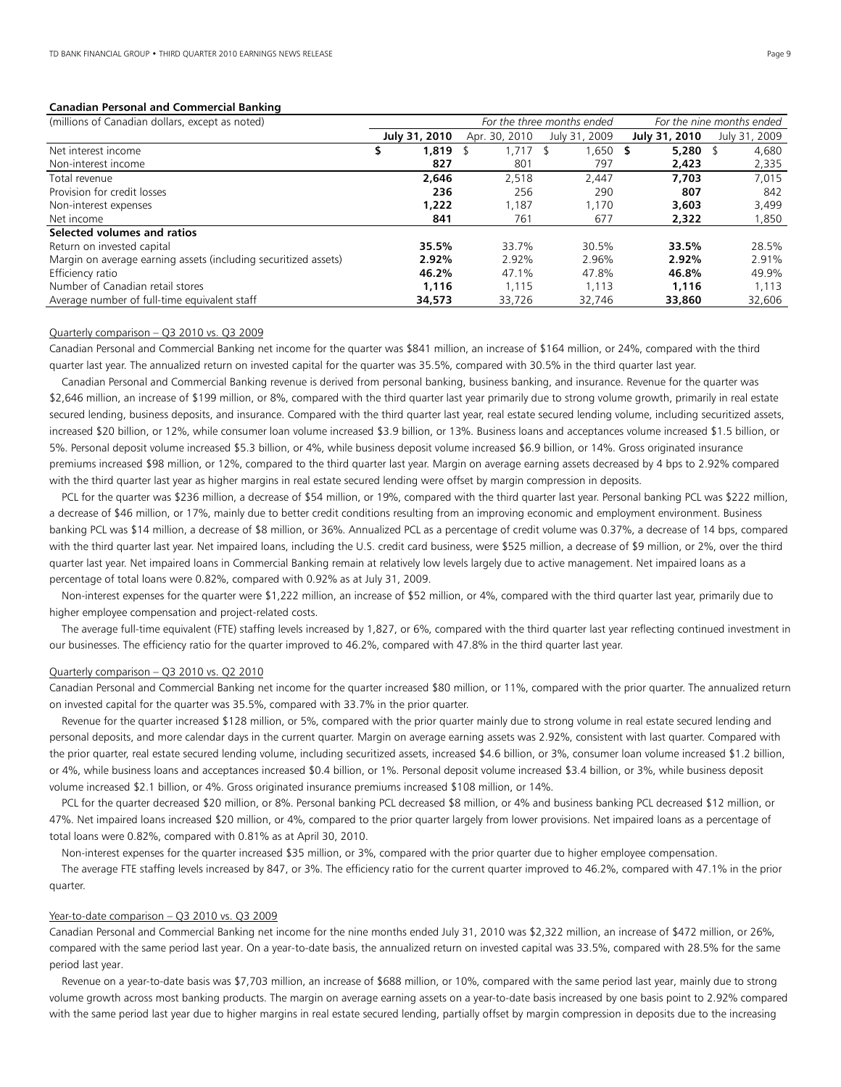# **Canadian Personal and Commercial Banking**

| (millions of Canadian dollars, except as noted)                 |               |               | For the three months ended | For the nine months ended |               |  |
|-----------------------------------------------------------------|---------------|---------------|----------------------------|---------------------------|---------------|--|
|                                                                 | July 31, 2010 | Apr. 30, 2010 | July 31, 2009              | July 31, 2010             | July 31, 2009 |  |
| Net interest income                                             | 1,819         | .717          | 1,650 \$                   | 5,280                     | 4,680         |  |
| Non-interest income                                             | 827           | 801           | 797                        | 2,423                     | 2,335         |  |
| Total revenue                                                   | 2.646         | 2,518         | 2.447                      | 7,703                     | 7,015         |  |
| Provision for credit losses                                     | 236           | 256           | 290                        | 807                       | 842           |  |
| Non-interest expenses                                           | 1,222         | 1,187         | 1.170                      | 3,603                     | 3,499         |  |
| Net income                                                      | 841           | 761           | 677                        | 2,322                     | 1,850         |  |
| Selected volumes and ratios                                     |               |               |                            |                           |               |  |
| Return on invested capital                                      | 35.5%         | 33.7%         | 30.5%                      | 33.5%                     | 28.5%         |  |
| Margin on average earning assets (including securitized assets) | 2.92%         | 2.92%         | 2.96%                      | 2.92%                     | 2.91%         |  |
| Efficiency ratio                                                | 46.2%         | 47.1%         | 47.8%                      | 46.8%                     | 49.9%         |  |
| Number of Canadian retail stores                                | 1.116         | 1.115         | 1.113                      | 1.116                     | 1.113         |  |
| Average number of full-time equivalent staff                    | 34,573        | 33,726        | 32.746                     | 33,860                    | 32,606        |  |

# Quarterly comparison – Q3 2010 vs. Q3 2009

Canadian Personal and Commercial Banking net income for the quarter was \$841 million, an increase of \$164 million, or 24%, compared with the third quarter last year. The annualized return on invested capital for the quarter was 35.5%, compared with 30.5% in the third quarter last year.

 Canadian Personal and Commercial Banking revenue is derived from personal banking, business banking, and insurance. Revenue for the quarter was \$2,646 million, an increase of \$199 million, or 8%, compared with the third quarter last year primarily due to strong volume growth, primarily in real estate secured lending, business deposits, and insurance. Compared with the third quarter last year, real estate secured lending volume, including securitized assets, increased \$20 billion, or 12%, while consumer loan volume increased \$3.9 billion, or 13%. Business loans and acceptances volume increased \$1.5 billion, or 5%. Personal deposit volume increased \$5.3 billion, or 4%, while business deposit volume increased \$6.9 billion, or 14%. Gross originated insurance premiums increased \$98 million, or 12%, compared to the third quarter last year. Margin on average earning assets decreased by 4 bps to 2.92% compared with the third quarter last year as higher margins in real estate secured lending were offset by margin compression in deposits.

 PCL for the quarter was \$236 million, a decrease of \$54 million, or 19%, compared with the third quarter last year. Personal banking PCL was \$222 million, a decrease of \$46 million, or 17%, mainly due to better credit conditions resulting from an improving economic and employment environment. Business banking PCL was \$14 million, a decrease of \$8 million, or 36%. Annualized PCL as a percentage of credit volume was 0.37%, a decrease of 14 bps, compared with the third quarter last year. Net impaired loans, including the U.S. credit card business, were \$525 million, a decrease of \$9 million, or 2%, over the third quarter last year. Net impaired loans in Commercial Banking remain at relatively low levels largely due to active management. Net impaired loans as a percentage of total loans were 0.82%, compared with 0.92% as at July 31, 2009.

 Non-interest expenses for the quarter were \$1,222 million, an increase of \$52 million, or 4%, compared with the third quarter last year, primarily due to higher employee compensation and project-related costs.

 The average full-time equivalent (FTE) staffing levels increased by 1,827, or 6%, compared with the third quarter last year reflecting continued investment in our businesses. The efficiency ratio for the quarter improved to 46.2%, compared with 47.8% in the third quarter last year.

# Quarterly comparison – Q3 2010 vs. Q2 2010

Canadian Personal and Commercial Banking net income for the quarter increased \$80 million, or 11%, compared with the prior quarter. The annualized return on invested capital for the quarter was 35.5%, compared with 33.7% in the prior quarter.

 Revenue for the quarter increased \$128 million, or 5%, compared with the prior quarter mainly due to strong volume in real estate secured lending and personal deposits, and more calendar days in the current quarter. Margin on average earning assets was 2.92%, consistent with last quarter. Compared with the prior quarter, real estate secured lending volume, including securitized assets, increased \$4.6 billion, or 3%, consumer loan volume increased \$1.2 billion, or 4%, while business loans and acceptances increased \$0.4 billion, or 1%. Personal deposit volume increased \$3.4 billion, or 3%, while business deposit volume increased \$2.1 billion, or 4%. Gross originated insurance premiums increased \$108 million, or 14%.

 PCL for the quarter decreased \$20 million, or 8%. Personal banking PCL decreased \$8 million, or 4% and business banking PCL decreased \$12 million, or 47%. Net impaired loans increased \$20 million, or 4%, compared to the prior quarter largely from lower provisions. Net impaired loans as a percentage of total loans were 0.82%, compared with 0.81% as at April 30, 2010.

Non-interest expenses for the quarter increased \$35 million, or 3%, compared with the prior quarter due to higher employee compensation.

 The average FTE staffing levels increased by 847, or 3%. The efficiency ratio for the current quarter improved to 46.2%, compared with 47.1% in the prior quarter.

#### Year-to-date comparison – Q3 2010 vs. Q3 2009

Canadian Personal and Commercial Banking net income for the nine months ended July 31, 2010 was \$2,322 million, an increase of \$472 million, or 26%, compared with the same period last year. On a year-to-date basis, the annualized return on invested capital was 33.5%, compared with 28.5% for the same period last year.

 Revenue on a year-to-date basis was \$7,703 million, an increase of \$688 million, or 10%, compared with the same period last year, mainly due to strong volume growth across most banking products. The margin on average earning assets on a year-to-date basis increased by one basis point to 2.92% compared with the same period last year due to higher margins in real estate secured lending, partially offset by margin compression in deposits due to the increasing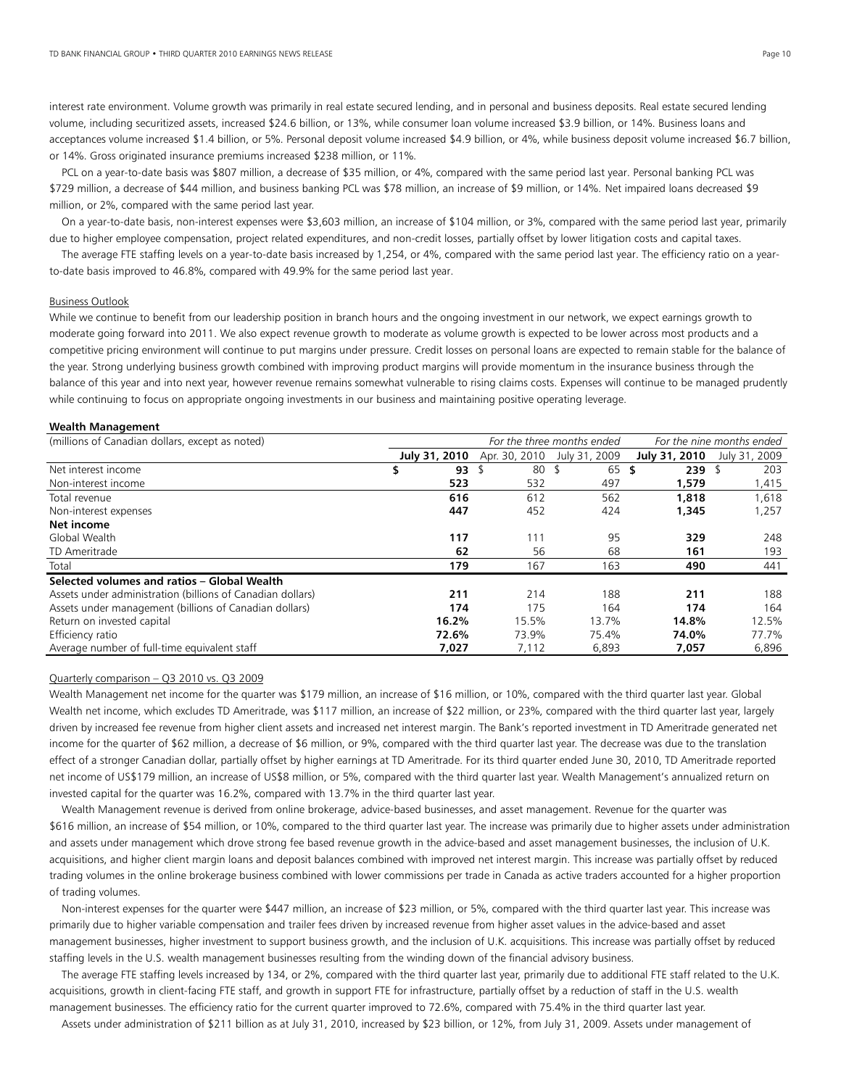interest rate environment. Volume growth was primarily in real estate secured lending, and in personal and business deposits. Real estate secured lending volume, including securitized assets, increased \$24.6 billion, or 13%, while consumer loan volume increased \$3.9 billion, or 14%. Business loans and acceptances volume increased \$1.4 billion, or 5%. Personal deposit volume increased \$4.9 billion, or 4%, while business deposit volume increased \$6.7 billion, or 14%. Gross originated insurance premiums increased \$238 million, or 11%.

 PCL on a year-to-date basis was \$807 million, a decrease of \$35 million, or 4%, compared with the same period last year. Personal banking PCL was \$729 million, a decrease of \$44 million, and business banking PCL was \$78 million, an increase of \$9 million, or 14%. Net impaired loans decreased \$9 million, or 2%, compared with the same period last year.

 On a year-to-date basis, non-interest expenses were \$3,603 million, an increase of \$104 million, or 3%, compared with the same period last year, primarily due to higher employee compensation, project related expenditures, and non-credit losses, partially offset by lower litigation costs and capital taxes.

 The average FTE staffing levels on a year-to-date basis increased by 1,254, or 4%, compared with the same period last year. The efficiency ratio on a yearto-date basis improved to 46.8%, compared with 49.9% for the same period last year.

# Business Outlook

While we continue to benefit from our leadership position in branch hours and the ongoing investment in our network, we expect earnings growth to moderate going forward into 2011. We also expect revenue growth to moderate as volume growth is expected to be lower across most products and a competitive pricing environment will continue to put margins under pressure. Credit losses on personal loans are expected to remain stable for the balance of the year. Strong underlying business growth combined with improving product margins will provide momentum in the insurance business through the balance of this year and into next year, however revenue remains somewhat vulnerable to rising claims costs. Expenses will continue to be managed prudently while continuing to focus on appropriate ongoing investments in our business and maintaining positive operating leverage.

# **Wealth Management**

| (millions of Canadian dollars, except as noted)            | For the three months ended |                 |                             | For the nine months ended |               |  |
|------------------------------------------------------------|----------------------------|-----------------|-----------------------------|---------------------------|---------------|--|
|                                                            | July 31, 2010              |                 | Apr. 30, 2010 July 31, 2009 | July 31, 2010             | July 31, 2009 |  |
| Net interest income                                        | 93                         | 80 <sup>5</sup> | 65                          | 239<br>S                  | 203           |  |
| Non-interest income                                        | 523                        | 532             | 497                         | 1,579                     | 1,415         |  |
| Total revenue                                              | 616                        | 612             | 562                         | 1,818                     | 1,618         |  |
| Non-interest expenses                                      | 447                        | 452             | 424                         | 1,345                     | 1,257         |  |
| Net income                                                 |                            |                 |                             |                           |               |  |
| Global Wealth                                              | 117                        | 111             | 95                          | 329                       | 248           |  |
| TD Ameritrade                                              | 62                         | 56              | 68                          | 161                       | 193           |  |
| Total                                                      | 179                        | 167             | 163                         | 490                       | 441           |  |
| Selected volumes and ratios - Global Wealth                |                            |                 |                             |                           |               |  |
| Assets under administration (billions of Canadian dollars) | 211                        | 214             | 188                         | 211                       | 188           |  |
| Assets under management (billions of Canadian dollars)     | 174                        | 175             | 164                         | 174                       | 164           |  |
| Return on invested capital                                 | 16.2%                      | 15.5%           | 13.7%                       | 14.8%                     | 12.5%         |  |
| Efficiency ratio                                           | 72.6%                      | 73.9%           | 75.4%                       | 74.0%                     | 77.7%         |  |
| Average number of full-time equivalent staff               | 7,027                      | 7,112           | 6,893                       | 7,057                     | 6,896         |  |

# Quarterly comparison – Q3 2010 vs. Q3 2009

Wealth Management net income for the quarter was \$179 million, an increase of \$16 million, or 10%, compared with the third quarter last year. Global Wealth net income, which excludes TD Ameritrade, was \$117 million, an increase of \$22 million, or 23%, compared with the third quarter last year, largely driven by increased fee revenue from higher client assets and increased net interest margin. The Bank's reported investment in TD Ameritrade generated net income for the quarter of \$62 million, a decrease of \$6 million, or 9%, compared with the third quarter last year. The decrease was due to the translation effect of a stronger Canadian dollar, partially offset by higher earnings at TD Ameritrade. For its third quarter ended June 30, 2010, TD Ameritrade reported net income of US\$179 million, an increase of US\$8 million, or 5%, compared with the third quarter last year. Wealth Management's annualized return on invested capital for the quarter was 16.2%, compared with 13.7% in the third quarter last year.

 Wealth Management revenue is derived from online brokerage, advice-based businesses, and asset management. Revenue for the quarter was \$616 million, an increase of \$54 million, or 10%, compared to the third quarter last year. The increase was primarily due to higher assets under administration and assets under management which drove strong fee based revenue growth in the advice-based and asset management businesses, the inclusion of U.K. acquisitions, and higher client margin loans and deposit balances combined with improved net interest margin. This increase was partially offset by reduced trading volumes in the online brokerage business combined with lower commissions per trade in Canada as active traders accounted for a higher proportion of trading volumes.

 Non-interest expenses for the quarter were \$447 million, an increase of \$23 million, or 5%, compared with the third quarter last year. This increase was primarily due to higher variable compensation and trailer fees driven by increased revenue from higher asset values in the advice-based and asset management businesses, higher investment to support business growth, and the inclusion of U.K. acquisitions. This increase was partially offset by reduced staffing levels in the U.S. wealth management businesses resulting from the winding down of the financial advisory business.

 The average FTE staffing levels increased by 134, or 2%, compared with the third quarter last year, primarily due to additional FTE staff related to the U.K. acquisitions, growth in client-facing FTE staff, and growth in support FTE for infrastructure, partially offset by a reduction of staff in the U.S. wealth management businesses. The efficiency ratio for the current quarter improved to 72.6%, compared with 75.4% in the third quarter last year.

Assets under administration of \$211 billion as at July 31, 2010, increased by \$23 billion, or 12%, from July 31, 2009. Assets under management of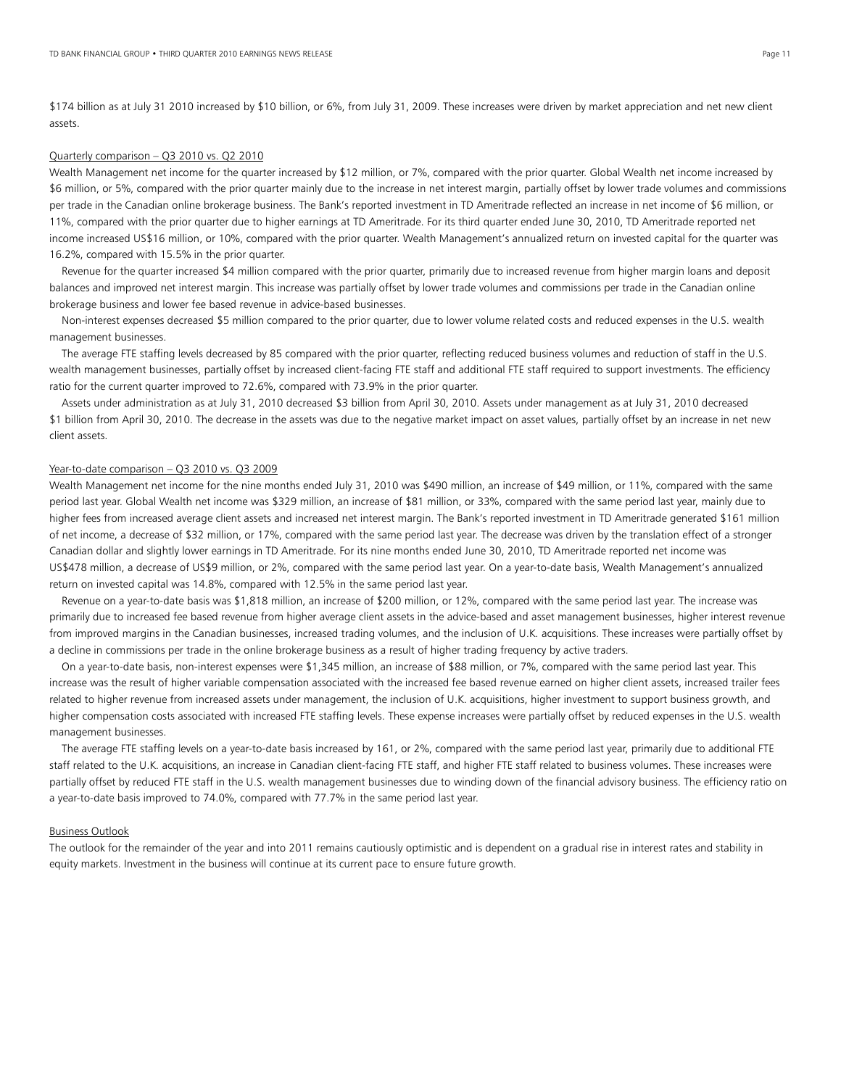\$174 billion as at July 31 2010 increased by \$10 billion, or 6%, from July 31, 2009. These increases were driven by market appreciation and net new client assets.

# Quarterly comparison – Q3 2010 vs. Q2 2010

Wealth Management net income for the quarter increased by \$12 million, or 7%, compared with the prior quarter. Global Wealth net income increased by \$6 million, or 5%, compared with the prior quarter mainly due to the increase in net interest margin, partially offset by lower trade volumes and commissions per trade in the Canadian online brokerage business. The Bank's reported investment in TD Ameritrade reflected an increase in net income of \$6 million, or 11%, compared with the prior quarter due to higher earnings at TD Ameritrade. For its third quarter ended June 30, 2010, TD Ameritrade reported net income increased US\$16 million, or 10%, compared with the prior quarter. Wealth Management's annualized return on invested capital for the quarter was 16.2%, compared with 15.5% in the prior quarter.

 Revenue for the quarter increased \$4 million compared with the prior quarter, primarily due to increased revenue from higher margin loans and deposit balances and improved net interest margin. This increase was partially offset by lower trade volumes and commissions per trade in the Canadian online brokerage business and lower fee based revenue in advice-based businesses.

 Non-interest expenses decreased \$5 million compared to the prior quarter, due to lower volume related costs and reduced expenses in the U.S. wealth management businesses.

The average FTE staffing levels decreased by 85 compared with the prior quarter, reflecting reduced business volumes and reduction of staff in the U.S. wealth management businesses, partially offset by increased client-facing FTE staff and additional FTE staff required to support investments. The efficiency ratio for the current quarter improved to 72.6%, compared with 73.9% in the prior quarter.

 Assets under administration as at July 31, 2010 decreased \$3 billion from April 30, 2010. Assets under management as at July 31, 2010 decreased \$1 billion from April 30, 2010. The decrease in the assets was due to the negative market impact on asset values, partially offset by an increase in net new client assets.

# Year-to-date comparison – Q3 2010 vs. Q3 2009

Wealth Management net income for the nine months ended July 31, 2010 was \$490 million, an increase of \$49 million, or 11%, compared with the same period last year. Global Wealth net income was \$329 million, an increase of \$81 million, or 33%, compared with the same period last year, mainly due to higher fees from increased average client assets and increased net interest margin. The Bank's reported investment in TD Ameritrade generated \$161 million of net income, a decrease of \$32 million, or 17%, compared with the same period last year. The decrease was driven by the translation effect of a stronger Canadian dollar and slightly lower earnings in TD Ameritrade. For its nine months ended June 30, 2010, TD Ameritrade reported net income was US\$478 million, a decrease of US\$9 million, or 2%, compared with the same period last year. On a year-to-date basis, Wealth Management's annualized return on invested capital was 14.8%, compared with 12.5% in the same period last year.

 Revenue on a year-to-date basis was \$1,818 million, an increase of \$200 million, or 12%, compared with the same period last year. The increase was primarily due to increased fee based revenue from higher average client assets in the advice-based and asset management businesses, higher interest revenue from improved margins in the Canadian businesses, increased trading volumes, and the inclusion of U.K. acquisitions. These increases were partially offset by a decline in commissions per trade in the online brokerage business as a result of higher trading frequency by active traders.

 On a year-to-date basis, non-interest expenses were \$1,345 million, an increase of \$88 million, or 7%, compared with the same period last year. This increase was the result of higher variable compensation associated with the increased fee based revenue earned on higher client assets, increased trailer fees related to higher revenue from increased assets under management, the inclusion of U.K. acquisitions, higher investment to support business growth, and higher compensation costs associated with increased FTE staffing levels. These expense increases were partially offset by reduced expenses in the U.S. wealth management businesses.

 The average FTE staffing levels on a year-to-date basis increased by 161, or 2%, compared with the same period last year, primarily due to additional FTE staff related to the U.K. acquisitions, an increase in Canadian client-facing FTE staff, and higher FTE staff related to business volumes. These increases were partially offset by reduced FTE staff in the U.S. wealth management businesses due to winding down of the financial advisory business. The efficiency ratio on a year-to-date basis improved to 74.0%, compared with 77.7% in the same period last year.

# Business Outlook

The outlook for the remainder of the year and into 2011 remains cautiously optimistic and is dependent on a gradual rise in interest rates and stability in equity markets. Investment in the business will continue at its current pace to ensure future growth.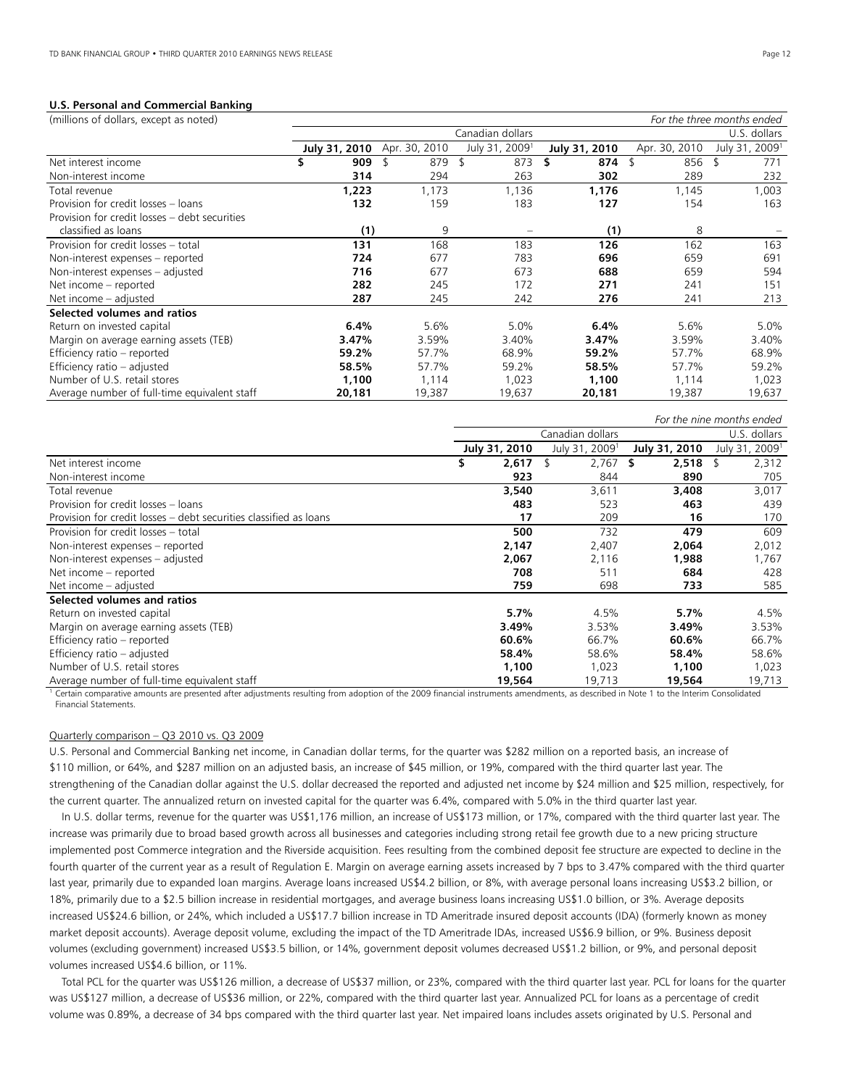# **U.S. Personal and Commercial Banking**

| (millions of dollars, except as noted)        |               |               |                            |               |               | For the three months ended |
|-----------------------------------------------|---------------|---------------|----------------------------|---------------|---------------|----------------------------|
|                                               |               |               | Canadian dollars           |               |               | U.S. dollars               |
|                                               | July 31, 2010 | Apr. 30, 2010 | July 31, 2009 <sup>1</sup> | July 31, 2010 | Apr. 30, 2010 | July 31, 2009 <sup>1</sup> |
| Net interest income                           | \$<br>909     | 879           | 873<br>\$                  | \$<br>874     | 856<br>R      | -\$<br>771                 |
| Non-interest income                           | 314           | 294           | 263                        | 302           | 289           | 232                        |
| Total revenue                                 | 1,223         | 1,173         | 1,136                      | 1,176         | 1,145         | 1,003                      |
| Provision for credit losses - loans           | 132           | 159           | 183                        | 127           | 154           | 163                        |
| Provision for credit losses – debt securities |               |               |                            |               |               |                            |
| classified as loans                           | (1)           | 9             |                            | (1)           | 8             |                            |
| Provision for credit losses - total           | 131           | 168           | 183                        | 126           | 162           | 163                        |
| Non-interest expenses - reported              | 724           | 677           | 783                        | 696           | 659           | 691                        |
| Non-interest expenses - adjusted              | 716           | 677           | 673                        | 688           | 659           | 594                        |
| Net income – reported                         | 282           | 245           | 172                        | 271           | 241           | 151                        |
| Net income – adjusted                         | 287           | 245           | 242                        | 276           | 241           | 213                        |
| Selected volumes and ratios                   |               |               |                            |               |               |                            |
| Return on invested capital                    | 6.4%          | 5.6%          | 5.0%                       | 6.4%          | 5.6%          | 5.0%                       |
| Margin on average earning assets (TEB)        | 3.47%         | 3.59%         | 3.40%                      | 3.47%         | 3.59%         | 3.40%                      |
| Efficiency ratio - reported                   | 59.2%         | 57.7%         | 68.9%                      | 59.2%         | 57.7%         | 68.9%                      |
| Efficiency ratio - adjusted                   | 58.5%         | 57.7%         | 59.2%                      | 58.5%         | 57.7%         | 59.2%                      |
| Number of U.S. retail stores                  | 1,100         | 1,114         | 1,023                      | 1,100         | 1,114         | 1,023                      |
| Average number of full-time equivalent staff  | 20,181        | 19,387        | 19,637                     | 20,181        | 19,387        | 19,637                     |

|                                                                                                                                                                                                                                                                                |               |                            |                 | For the nine months ended  |
|--------------------------------------------------------------------------------------------------------------------------------------------------------------------------------------------------------------------------------------------------------------------------------|---------------|----------------------------|-----------------|----------------------------|
|                                                                                                                                                                                                                                                                                |               | Canadian dollars           |                 | U.S. dollars               |
|                                                                                                                                                                                                                                                                                | July 31, 2010 | July 31, 2009 <sup>1</sup> | July 31, 2010   | July 31, 2009 <sup>1</sup> |
| Net interest income                                                                                                                                                                                                                                                            | 2,617         | 2,767                      | $2,518$ \$<br>S | 2,312                      |
| Non-interest income                                                                                                                                                                                                                                                            | 923           | 844                        | 890             | 705                        |
| Total revenue                                                                                                                                                                                                                                                                  | 3,540         | 3,611                      | 3,408           | 3,017                      |
| Provision for credit losses - loans                                                                                                                                                                                                                                            | 483           | 523                        | 463             | 439                        |
| Provision for credit losses – debt securities classified as loans                                                                                                                                                                                                              | 17            | 209                        | 16              | 170                        |
| Provision for credit losses - total                                                                                                                                                                                                                                            | 500           | 732                        | 479             | 609                        |
| Non-interest expenses – reported                                                                                                                                                                                                                                               | 2,147         | 2,407                      | 2,064           | 2,012                      |
| Non-interest expenses - adjusted                                                                                                                                                                                                                                               | 2,067         | 2,116                      | 1,988           | 1,767                      |
| Net income – reported                                                                                                                                                                                                                                                          | 708           | 511                        | 684             | 428                        |
| Net income – adjusted                                                                                                                                                                                                                                                          | 759           | 698                        | 733             | 585                        |
| Selected volumes and ratios                                                                                                                                                                                                                                                    |               |                            |                 |                            |
| Return on invested capital                                                                                                                                                                                                                                                     | 5.7%          | 4.5%                       | 5.7%            | 4.5%                       |
| Margin on average earning assets (TEB)                                                                                                                                                                                                                                         | 3.49%         | 3.53%                      | 3.49%           | 3.53%                      |
| Efficiency ratio – reported                                                                                                                                                                                                                                                    | 60.6%         | 66.7%                      | 60.6%           | 66.7%                      |
| Efficiency ratio - adjusted                                                                                                                                                                                                                                                    | 58.4%         | 58.6%                      | 58.4%           | 58.6%                      |
| Number of U.S. retail stores                                                                                                                                                                                                                                                   | 1,100         | 1,023                      | 1,100           | 1,023                      |
| Average number of full-time equivalent staff<br>take the state of the state of the state of the state of the state of the state of the state of the state of the state of the state of the state of the state of the state of the state of the state of the state of the state | 19,564        | 19,713                     | 19,564          | 19,713                     |

Certain comparative amounts are presented after adjustments resulting from adoption of the 2009 financial instruments amendments, as described in Note 1 to the Interim Consolidated Financial Statements.

# Quarterly comparison – Q3 2010 vs. Q3 2009

U.S. Personal and Commercial Banking net income, in Canadian dollar terms, for the quarter was \$282 million on a reported basis, an increase of \$110 million, or 64%, and \$287 million on an adjusted basis, an increase of \$45 million, or 19%, compared with the third quarter last year. The strengthening of the Canadian dollar against the U.S. dollar decreased the reported and adjusted net income by \$24 million and \$25 million, respectively, for the current quarter. The annualized return on invested capital for the quarter was 6.4%, compared with 5.0% in the third quarter last year.

 In U.S. dollar terms, revenue for the quarter was US\$1,176 million, an increase of US\$173 million, or 17%, compared with the third quarter last year. The increase was primarily due to broad based growth across all businesses and categories including strong retail fee growth due to a new pricing structure implemented post Commerce integration and the Riverside acquisition. Fees resulting from the combined deposit fee structure are expected to decline in the fourth quarter of the current year as a result of Regulation E. Margin on average earning assets increased by 7 bps to 3.47% compared with the third quarter last year, primarily due to expanded loan margins. Average loans increased US\$4.2 billion, or 8%, with average personal loans increasing US\$3.2 billion, or 18%, primarily due to a \$2.5 billion increase in residential mortgages, and average business loans increasing US\$1.0 billion, or 3%. Average deposits increased US\$24.6 billion, or 24%, which included a US\$17.7 billion increase in TD Ameritrade insured deposit accounts (IDA) (formerly known as money market deposit accounts). Average deposit volume, excluding the impact of the TD Ameritrade IDAs, increased US\$6.9 billion, or 9%. Business deposit volumes (excluding government) increased US\$3.5 billion, or 14%, government deposit volumes decreased US\$1.2 billion, or 9%, and personal deposit volumes increased US\$4.6 billion, or 11%.

 Total PCL for the quarter was US\$126 million, a decrease of US\$37 million, or 23%, compared with the third quarter last year. PCL for loans for the quarter was US\$127 million, a decrease of US\$36 million, or 22%, compared with the third quarter last year. Annualized PCL for loans as a percentage of credit volume was 0.89%, a decrease of 34 bps compared with the third quarter last year. Net impaired loans includes assets originated by U.S. Personal and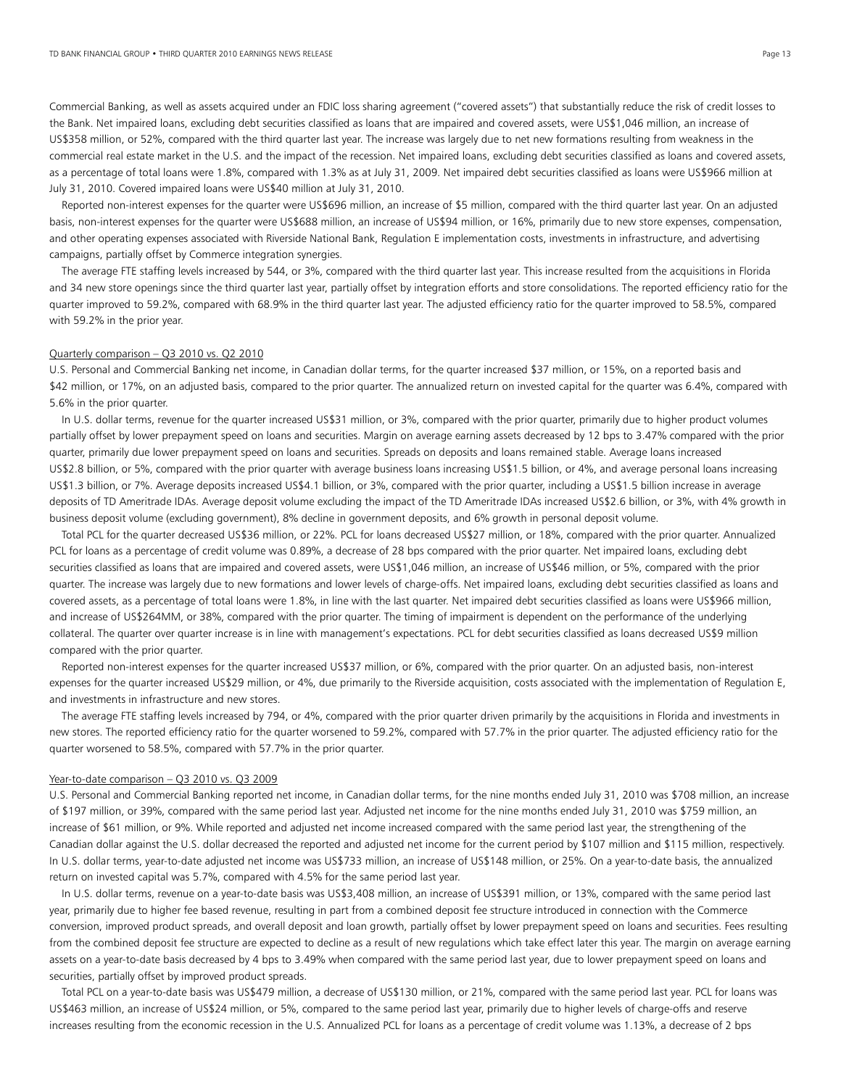Commercial Banking, as well as assets acquired under an FDIC loss sharing agreement ("covered assets") that substantially reduce the risk of credit losses to the Bank. Net impaired loans, excluding debt securities classified as loans that are impaired and covered assets, were US\$1,046 million, an increase of US\$358 million, or 52%, compared with the third quarter last year. The increase was largely due to net new formations resulting from weakness in the commercial real estate market in the U.S. and the impact of the recession. Net impaired loans, excluding debt securities classified as loans and covered assets, as a percentage of total loans were 1.8%, compared with 1.3% as at July 31, 2009. Net impaired debt securities classified as loans were US\$966 million at July 31, 2010. Covered impaired loans were US\$40 million at July 31, 2010.

 Reported non-interest expenses for the quarter were US\$696 million, an increase of \$5 million, compared with the third quarter last year. On an adjusted basis, non-interest expenses for the quarter were US\$688 million, an increase of US\$94 million, or 16%, primarily due to new store expenses, compensation, and other operating expenses associated with Riverside National Bank, Regulation E implementation costs, investments in infrastructure, and advertising campaigns, partially offset by Commerce integration synergies.

 The average FTE staffing levels increased by 544, or 3%, compared with the third quarter last year. This increase resulted from the acquisitions in Florida and 34 new store openings since the third quarter last year, partially offset by integration efforts and store consolidations. The reported efficiency ratio for the quarter improved to 59.2%, compared with 68.9% in the third quarter last year. The adjusted efficiency ratio for the quarter improved to 58.5%, compared with 59.2% in the prior year.

# Quarterly comparison – Q3 2010 vs. Q2 2010

U.S. Personal and Commercial Banking net income, in Canadian dollar terms, for the quarter increased \$37 million, or 15%, on a reported basis and \$42 million, or 17%, on an adjusted basis, compared to the prior quarter. The annualized return on invested capital for the quarter was 6.4%, compared with 5.6% in the prior quarter.

 In U.S. dollar terms, revenue for the quarter increased US\$31 million, or 3%, compared with the prior quarter, primarily due to higher product volumes partially offset by lower prepayment speed on loans and securities. Margin on average earning assets decreased by 12 bps to 3.47% compared with the prior quarter, primarily due lower prepayment speed on loans and securities. Spreads on deposits and loans remained stable. Average loans increased US\$2.8 billion, or 5%, compared with the prior quarter with average business loans increasing US\$1.5 billion, or 4%, and average personal loans increasing US\$1.3 billion, or 7%. Average deposits increased US\$4.1 billion, or 3%, compared with the prior quarter, including a US\$1.5 billion increase in average deposits of TD Ameritrade IDAs. Average deposit volume excluding the impact of the TD Ameritrade IDAs increased US\$2.6 billion, or 3%, with 4% growth in business deposit volume (excluding government), 8% decline in government deposits, and 6% growth in personal deposit volume.

 Total PCL for the quarter decreased US\$36 million, or 22%. PCL for loans decreased US\$27 million, or 18%, compared with the prior quarter. Annualized PCL for loans as a percentage of credit volume was 0.89%, a decrease of 28 bps compared with the prior quarter. Net impaired loans, excluding debt securities classified as loans that are impaired and covered assets, were US\$1,046 million, an increase of US\$46 million, or 5%, compared with the prior quarter. The increase was largely due to new formations and lower levels of charge-offs. Net impaired loans, excluding debt securities classified as loans and covered assets, as a percentage of total loans were 1.8%, in line with the last quarter. Net impaired debt securities classified as loans were US\$966 million, and increase of US\$264MM, or 38%, compared with the prior quarter. The timing of impairment is dependent on the performance of the underlying collateral. The quarter over quarter increase is in line with management's expectations. PCL for debt securities classified as loans decreased US\$9 million compared with the prior quarter.

 Reported non-interest expenses for the quarter increased US\$37 million, or 6%, compared with the prior quarter. On an adjusted basis, non-interest expenses for the quarter increased US\$29 million, or 4%, due primarily to the Riverside acquisition, costs associated with the implementation of Regulation E, and investments in infrastructure and new stores.

 The average FTE staffing levels increased by 794, or 4%, compared with the prior quarter driven primarily by the acquisitions in Florida and investments in new stores. The reported efficiency ratio for the quarter worsened to 59.2%, compared with 57.7% in the prior quarter. The adjusted efficiency ratio for the quarter worsened to 58.5%, compared with 57.7% in the prior quarter.

#### Year-to-date comparison - Q3 2010 vs. Q3 2009

U.S. Personal and Commercial Banking reported net income, in Canadian dollar terms, for the nine months ended July 31, 2010 was \$708 million, an increase of \$197 million, or 39%, compared with the same period last year. Adjusted net income for the nine months ended July 31, 2010 was \$759 million, an increase of \$61 million, or 9%. While reported and adjusted net income increased compared with the same period last year, the strengthening of the Canadian dollar against the U.S. dollar decreased the reported and adjusted net income for the current period by \$107 million and \$115 million, respectively. In U.S. dollar terms, year-to-date adjusted net income was US\$733 million, an increase of US\$148 million, or 25%. On a year-to-date basis, the annualized return on invested capital was 5.7%, compared with 4.5% for the same period last year.

 In U.S. dollar terms, revenue on a year-to-date basis was US\$3,408 million, an increase of US\$391 million, or 13%, compared with the same period last year, primarily due to higher fee based revenue, resulting in part from a combined deposit fee structure introduced in connection with the Commerce conversion, improved product spreads, and overall deposit and loan growth, partially offset by lower prepayment speed on loans and securities. Fees resulting from the combined deposit fee structure are expected to decline as a result of new regulations which take effect later this year. The margin on average earning assets on a year-to-date basis decreased by 4 bps to 3.49% when compared with the same period last year, due to lower prepayment speed on loans and securities, partially offset by improved product spreads.

 Total PCL on a year-to-date basis was US\$479 million, a decrease of US\$130 million, or 21%, compared with the same period last year. PCL for loans was US\$463 million, an increase of US\$24 million, or 5%, compared to the same period last year, primarily due to higher levels of charge-offs and reserve increases resulting from the economic recession in the U.S. Annualized PCL for loans as a percentage of credit volume was 1.13%, a decrease of 2 bps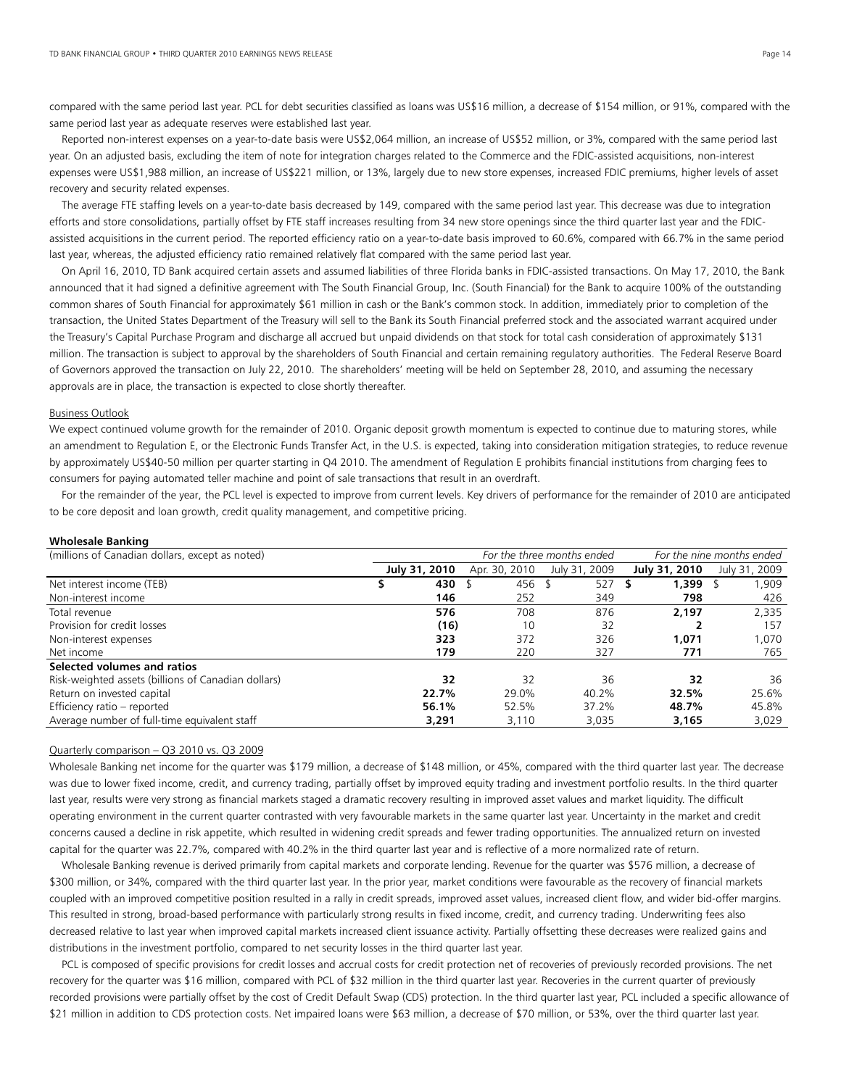compared with the same period last year. PCL for debt securities classified as loans was US\$16 million, a decrease of \$154 million, or 91%, compared with the same period last year as adequate reserves were established last year.

 Reported non-interest expenses on a year-to-date basis were US\$2,064 million, an increase of US\$52 million, or 3%, compared with the same period last year. On an adjusted basis, excluding the item of note for integration charges related to the Commerce and the FDIC-assisted acquisitions, non-interest expenses were US\$1,988 million, an increase of US\$221 million, or 13%, largely due to new store expenses, increased FDIC premiums, higher levels of asset recovery and security related expenses.

 The average FTE staffing levels on a year-to-date basis decreased by 149, compared with the same period last year. This decrease was due to integration efforts and store consolidations, partially offset by FTE staff increases resulting from 34 new store openings since the third quarter last year and the FDICassisted acquisitions in the current period. The reported efficiency ratio on a year-to-date basis improved to 60.6%, compared with 66.7% in the same period last year, whereas, the adjusted efficiency ratio remained relatively flat compared with the same period last year.

 On April 16, 2010, TD Bank acquired certain assets and assumed liabilities of three Florida banks in FDIC-assisted transactions. On May 17, 2010, the Bank announced that it had signed a definitive agreement with The South Financial Group, Inc. (South Financial) for the Bank to acquire 100% of the outstanding common shares of South Financial for approximately \$61 million in cash or the Bank's common stock. In addition, immediately prior to completion of the transaction, the United States Department of the Treasury will sell to the Bank its South Financial preferred stock and the associated warrant acquired under the Treasury's Capital Purchase Program and discharge all accrued but unpaid dividends on that stock for total cash consideration of approximately \$131 million. The transaction is subject to approval by the shareholders of South Financial and certain remaining regulatory authorities. The Federal Reserve Board of Governors approved the transaction on July 22, 2010. The shareholders' meeting will be held on September 28, 2010, and assuming the necessary approvals are in place, the transaction is expected to close shortly thereafter.

#### Business Outlook

We expect continued volume growth for the remainder of 2010. Organic deposit growth momentum is expected to continue due to maturing stores, while an amendment to Regulation E, or the Electronic Funds Transfer Act, in the U.S. is expected, taking into consideration mitigation strategies, to reduce revenue by approximately US\$40-50 million per quarter starting in Q4 2010. The amendment of Regulation E prohibits financial institutions from charging fees to consumers for paying automated teller machine and point of sale transactions that result in an overdraft.

 For the remainder of the year, the PCL level is expected to improve from current levels. Key drivers of performance for the remainder of 2010 are anticipated to be core deposit and loan growth, credit quality management, and competitive pricing.

# **Wholesale Banking**

| (millions of Canadian dollars, except as noted)     | For the three months ended |               |               | For the nine months ended |               |  |
|-----------------------------------------------------|----------------------------|---------------|---------------|---------------------------|---------------|--|
|                                                     | July 31, 2010              | Apr. 30, 2010 | July 31, 2009 | July 31, 2010             | July 31, 2009 |  |
| Net interest income (TEB)                           | 430                        | 456 \$        | $527$ \$      | $1,399$ \$                | 909, ا        |  |
| Non-interest income                                 | 146                        | 252           | 349           | 798                       | 426           |  |
| Total revenue                                       | 576                        | 708           | 876           | 2,197                     | 2,335         |  |
| Provision for credit losses                         | (16)                       | 10            | 32            |                           | 157           |  |
| Non-interest expenses                               | 323                        | 372           | 326           | 1.071                     | 1.070         |  |
| Net income                                          | 179                        | 220           | 327           | 771                       | 765           |  |
| Selected volumes and ratios                         |                            |               |               |                           |               |  |
| Risk-weighted assets (billions of Canadian dollars) | 32                         | 32            | 36            | 32                        | 36            |  |
| Return on invested capital                          | 22.7%                      | 29.0%         | 40.2%         | 32.5%                     | 25.6%         |  |
| Efficiency ratio - reported                         | 56.1%                      | 52.5%         | 37.2%         | 48.7%                     | 45.8%         |  |
| Average number of full-time equivalent staff        | 3,291                      | 3,110         | 3.035         | 3,165                     | 3,029         |  |

#### Quarterly comparison – Q3 2010 vs. Q3 2009

Wholesale Banking net income for the quarter was \$179 million, a decrease of \$148 million, or 45%, compared with the third quarter last year. The decrease was due to lower fixed income, credit, and currency trading, partially offset by improved equity trading and investment portfolio results. In the third quarter last year, results were very strong as financial markets staged a dramatic recovery resulting in improved asset values and market liquidity. The difficult operating environment in the current quarter contrasted with very favourable markets in the same quarter last year. Uncertainty in the market and credit concerns caused a decline in risk appetite, which resulted in widening credit spreads and fewer trading opportunities. The annualized return on invested capital for the quarter was 22.7%, compared with 40.2% in the third quarter last year and is reflective of a more normalized rate of return.

 Wholesale Banking revenue is derived primarily from capital markets and corporate lending. Revenue for the quarter was \$576 million, a decrease of \$300 million, or 34%, compared with the third quarter last year. In the prior year, market conditions were favourable as the recovery of financial markets coupled with an improved competitive position resulted in a rally in credit spreads, improved asset values, increased client flow, and wider bid-offer margins. This resulted in strong, broad-based performance with particularly strong results in fixed income, credit, and currency trading. Underwriting fees also decreased relative to last year when improved capital markets increased client issuance activity. Partially offsetting these decreases were realized gains and distributions in the investment portfolio, compared to net security losses in the third quarter last year.

PCL is composed of specific provisions for credit losses and accrual costs for credit protection net of recoveries of previously recorded provisions. The net recovery for the quarter was \$16 million, compared with PCL of \$32 million in the third quarter last year. Recoveries in the current quarter of previously recorded provisions were partially offset by the cost of Credit Default Swap (CDS) protection. In the third quarter last year, PCL included a specific allowance of \$21 million in addition to CDS protection costs. Net impaired loans were \$63 million, a decrease of \$70 million, or 53%, over the third quarter last year.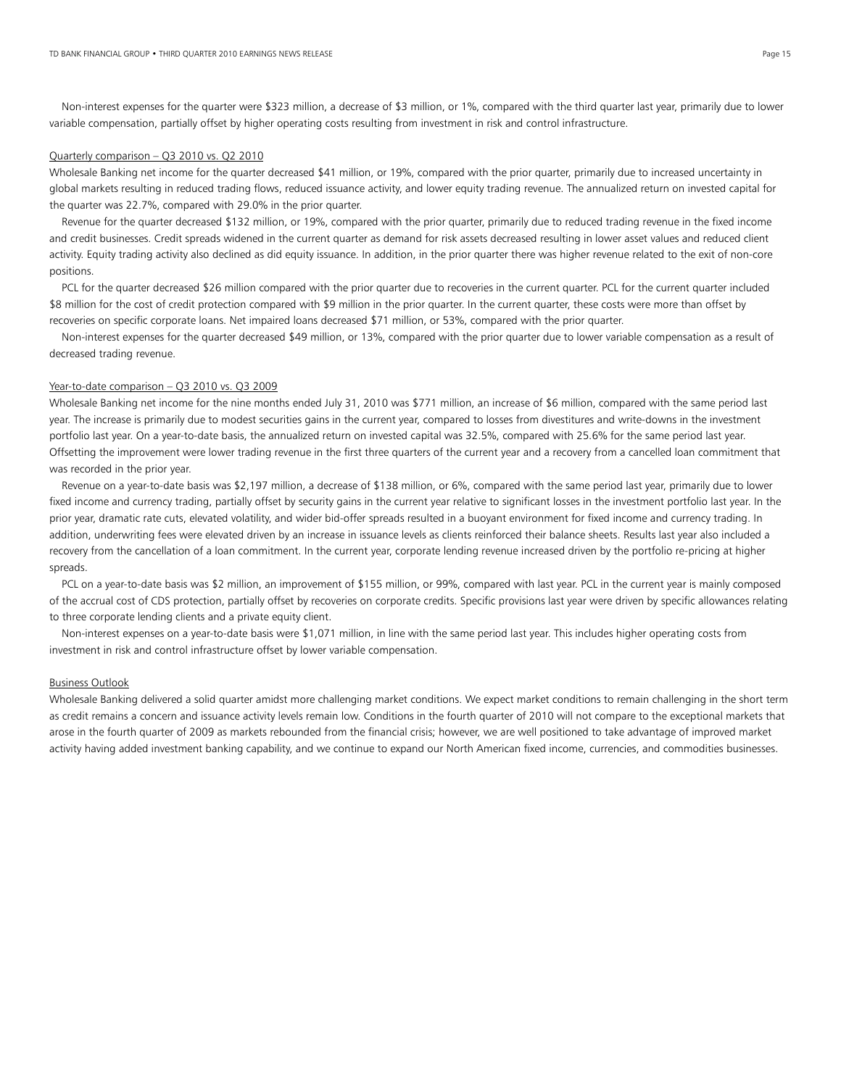Non-interest expenses for the quarter were \$323 million, a decrease of \$3 million, or 1%, compared with the third quarter last year, primarily due to lower variable compensation, partially offset by higher operating costs resulting from investment in risk and control infrastructure.

# Quarterly comparison – Q3 2010 vs. Q2 2010

Wholesale Banking net income for the quarter decreased \$41 million, or 19%, compared with the prior quarter, primarily due to increased uncertainty in global markets resulting in reduced trading flows, reduced issuance activity, and lower equity trading revenue. The annualized return on invested capital for the quarter was 22.7%, compared with 29.0% in the prior quarter.

 Revenue for the quarter decreased \$132 million, or 19%, compared with the prior quarter, primarily due to reduced trading revenue in the fixed income and credit businesses. Credit spreads widened in the current quarter as demand for risk assets decreased resulting in lower asset values and reduced client activity. Equity trading activity also declined as did equity issuance. In addition, in the prior quarter there was higher revenue related to the exit of non-core positions.

PCL for the quarter decreased \$26 million compared with the prior quarter due to recoveries in the current quarter. PCL for the current quarter included \$8 million for the cost of credit protection compared with \$9 million in the prior quarter. In the current quarter, these costs were more than offset by recoveries on specific corporate loans. Net impaired loans decreased \$71 million, or 53%, compared with the prior quarter.

 Non-interest expenses for the quarter decreased \$49 million, or 13%, compared with the prior quarter due to lower variable compensation as a result of decreased trading revenue.

#### Year-to-date comparison - Q3 2010 vs. Q3 2009

Wholesale Banking net income for the nine months ended July 31, 2010 was \$771 million, an increase of \$6 million, compared with the same period last year. The increase is primarily due to modest securities gains in the current year, compared to losses from divestitures and write-downs in the investment portfolio last year. On a year-to-date basis, the annualized return on invested capital was 32.5%, compared with 25.6% for the same period last year. Offsetting the improvement were lower trading revenue in the first three quarters of the current year and a recovery from a cancelled loan commitment that was recorded in the prior year.

 Revenue on a year-to-date basis was \$2,197 million, a decrease of \$138 million, or 6%, compared with the same period last year, primarily due to lower fixed income and currency trading, partially offset by security gains in the current year relative to significant losses in the investment portfolio last year. In the prior year, dramatic rate cuts, elevated volatility, and wider bid-offer spreads resulted in a buoyant environment for fixed income and currency trading. In addition, underwriting fees were elevated driven by an increase in issuance levels as clients reinforced their balance sheets. Results last year also included a recovery from the cancellation of a loan commitment. In the current year, corporate lending revenue increased driven by the portfolio re-pricing at higher spreads.

PCL on a year-to-date basis was \$2 million, an improvement of \$155 million, or 99%, compared with last year. PCL in the current year is mainly composed of the accrual cost of CDS protection, partially offset by recoveries on corporate credits. Specific provisions last year were driven by specific allowances relating to three corporate lending clients and a private equity client.

 Non-interest expenses on a year-to-date basis were \$1,071 million, in line with the same period last year. This includes higher operating costs from investment in risk and control infrastructure offset by lower variable compensation.

# Business Outlook

Wholesale Banking delivered a solid quarter amidst more challenging market conditions. We expect market conditions to remain challenging in the short term as credit remains a concern and issuance activity levels remain low. Conditions in the fourth quarter of 2010 will not compare to the exceptional markets that arose in the fourth quarter of 2009 as markets rebounded from the financial crisis; however, we are well positioned to take advantage of improved market activity having added investment banking capability, and we continue to expand our North American fixed income, currencies, and commodities businesses.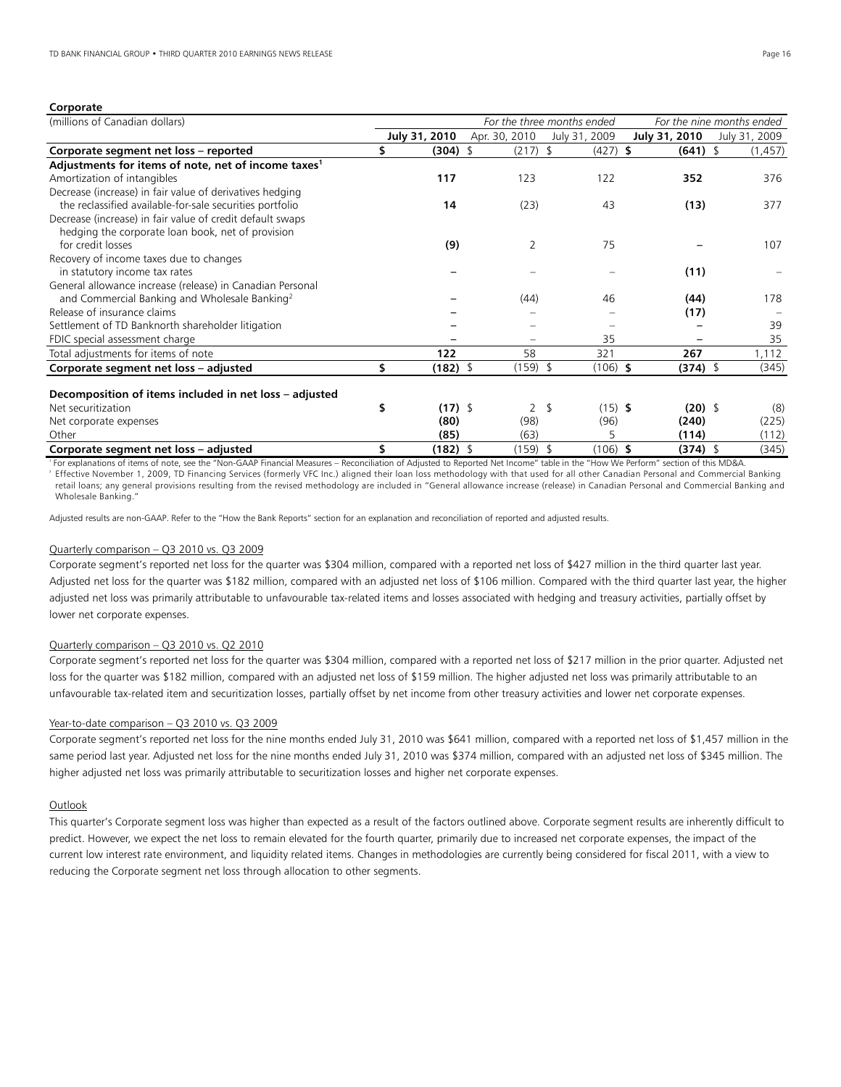# **Corporate**

| (millions of Canadian dollars)                                  | For the three months ended<br>For the nine months ended |               |  |                |                  |               |               |
|-----------------------------------------------------------------|---------------------------------------------------------|---------------|--|----------------|------------------|---------------|---------------|
|                                                                 |                                                         | July 31, 2010 |  | Apr. 30, 2010  | July 31, 2009    | July 31, 2010 | July 31, 2009 |
| Corporate segment net loss - reported                           |                                                         | (304)         |  | $(217)$ \$     | $(427)$ \$       | $(641)$ \$    | (1, 457)      |
| Adjustments for items of note, net of income taxes <sup>1</sup> |                                                         |               |  |                |                  |               |               |
| Amortization of intangibles                                     |                                                         | 117           |  | 123            | 122              | 352           | 376           |
| Decrease (increase) in fair value of derivatives hedging        |                                                         |               |  |                |                  |               |               |
| the reclassified available-for-sale securities portfolio        |                                                         | 14            |  | (23)           | 43               | (13)          | 377           |
| Decrease (increase) in fair value of credit default swaps       |                                                         |               |  |                |                  |               |               |
| hedging the corporate loan book, net of provision               |                                                         |               |  |                |                  |               |               |
| for credit losses                                               |                                                         | (9)           |  | 2              | 75               |               | 107           |
| Recovery of income taxes due to changes                         |                                                         |               |  |                |                  |               |               |
| in statutory income tax rates                                   |                                                         |               |  |                |                  | (11)          |               |
| General allowance increase (release) in Canadian Personal       |                                                         |               |  |                |                  |               |               |
| and Commercial Banking and Wholesale Banking <sup>2</sup>       |                                                         |               |  | (44)           | 46               | (44)          | 178           |
| Release of insurance claims                                     |                                                         |               |  |                |                  | (17)          |               |
| Settlement of TD Banknorth shareholder litigation               |                                                         |               |  |                |                  |               | 39            |
| FDIC special assessment charge                                  |                                                         |               |  |                | 35               |               | 35            |
| Total adjustments for items of note                             |                                                         | 122           |  | 58             | 321              | 267           | 1,112         |
| Corporate segment net loss - adjusted                           |                                                         | $(182)$ \$    |  | $(159)$ \$     | $(106)$ \$       | $(374)$ \$    | (345)         |
|                                                                 |                                                         |               |  |                |                  |               |               |
| Decomposition of items included in net loss - adjusted          |                                                         |               |  |                |                  |               |               |
| Net securitization                                              | \$                                                      | $(17)$ \$     |  | $\overline{2}$ | $(15)$ \$<br>-\$ | $(20)$ \$     | (8)           |
| Net corporate expenses                                          |                                                         | (80)          |  | (98)           | (96)             | (240)         | (225)         |
| Other                                                           |                                                         | (85)          |  | (63)           | 5                | (114)         | (112)         |
| Corporate segment net loss - adjusted                           | \$                                                      | $(182)$ \$    |  | $(159)$ \$     | $(106)$ \$       | $(374)$ \$    | (345)         |

1 For explanations of items of note, see the "Non-GAAP Financial Measures – Reconciliation of Adjusted to Reported Net Income" table in the "How We Perform" section of this MD&A. Effective November 1, 2009, TD Financing Services (formerly VFC Inc.) aligned their loan loss methodology with that used for all other Canadian Personal and Commercial Banking retail loans; any general provisions resulting from the revised methodology are included in "General allowance increase (release) in Canadian Personal and Commercial Banking and Wholesale Banking."

Adjusted results are non-GAAP. Refer to the "How the Bank Reports" section for an explanation and reconciliation of reported and adjusted results.

# Quarterly comparison – Q3 2010 vs. Q3 2009

Corporate segment's reported net loss for the quarter was \$304 million, compared with a reported net loss of \$427 million in the third quarter last year. Adjusted net loss for the quarter was \$182 million, compared with an adjusted net loss of \$106 million. Compared with the third quarter last year, the higher adjusted net loss was primarily attributable to unfavourable tax-related items and losses associated with hedging and treasury activities, partially offset by lower net corporate expenses.

#### Quarterly comparison – Q3 2010 vs. Q2 2010

Corporate segment's reported net loss for the quarter was \$304 million, compared with a reported net loss of \$217 million in the prior quarter. Adjusted net loss for the quarter was \$182 million, compared with an adjusted net loss of \$159 million. The higher adjusted net loss was primarily attributable to an unfavourable tax-related item and securitization losses, partially offset by net income from other treasury activities and lower net corporate expenses.

#### Year-to-date comparison – Q3 2010 vs. Q3 2009

Corporate segment's reported net loss for the nine months ended July 31, 2010 was \$641 million, compared with a reported net loss of \$1,457 million in the same period last year. Adjusted net loss for the nine months ended July 31, 2010 was \$374 million, compared with an adjusted net loss of \$345 million. The higher adjusted net loss was primarily attributable to securitization losses and higher net corporate expenses.

# **Outlook**

This quarter's Corporate segment loss was higher than expected as a result of the factors outlined above. Corporate segment results are inherently difficult to predict. However, we expect the net loss to remain elevated for the fourth quarter, primarily due to increased net corporate expenses, the impact of the current low interest rate environment, and liquidity related items. Changes in methodologies are currently being considered for fiscal 2011, with a view to reducing the Corporate segment net loss through allocation to other segments.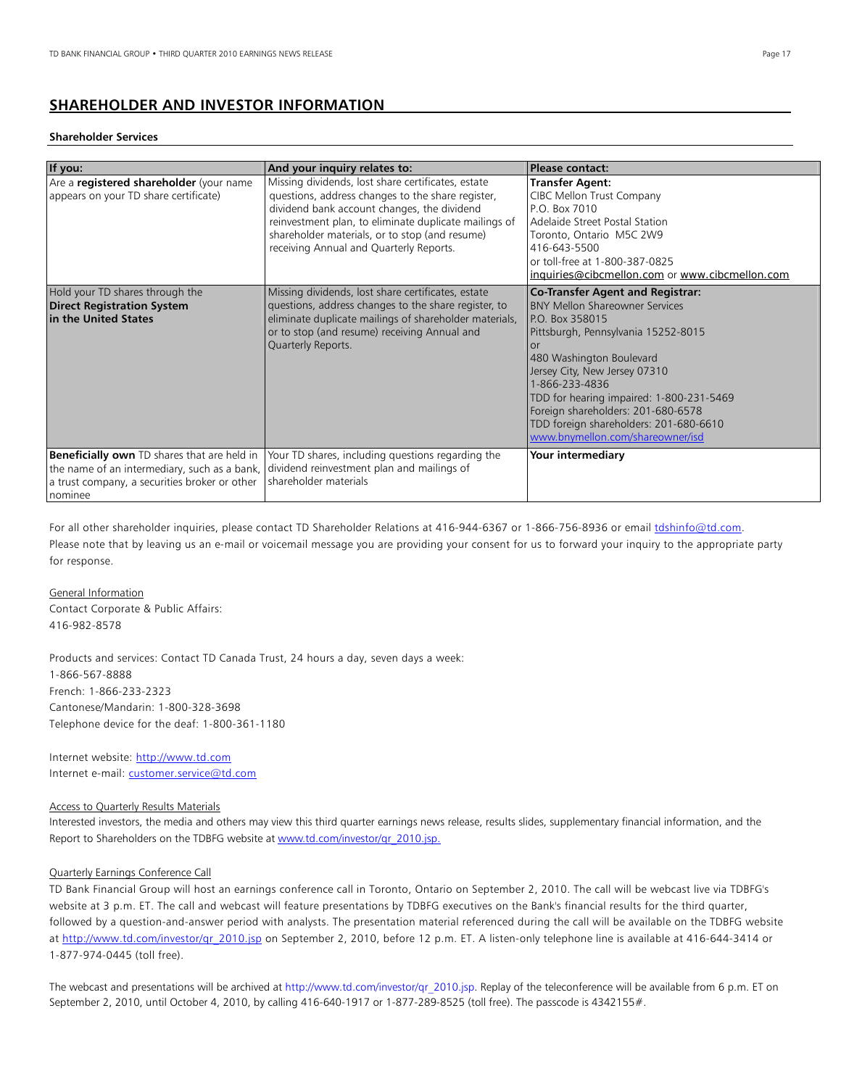# **SHAREHOLDER AND INVESTOR INFORMATION**

## **Shareholder Services**

| If you:                                                                                                                                                        | And your inquiry relates to:                                                                                                                                                                                                                                                                                 | <b>Please contact:</b>                                                                                                                                                                                                                                                                                                                                                                          |
|----------------------------------------------------------------------------------------------------------------------------------------------------------------|--------------------------------------------------------------------------------------------------------------------------------------------------------------------------------------------------------------------------------------------------------------------------------------------------------------|-------------------------------------------------------------------------------------------------------------------------------------------------------------------------------------------------------------------------------------------------------------------------------------------------------------------------------------------------------------------------------------------------|
| Are a registered shareholder (your name<br>appears on your TD share certificate)                                                                               | Missing dividends, lost share certificates, estate<br>questions, address changes to the share register,<br>dividend bank account changes, the dividend<br>reinvestment plan, to eliminate duplicate mailings of<br>shareholder materials, or to stop (and resume)<br>receiving Annual and Quarterly Reports. | <b>Transfer Agent:</b><br>CIBC Mellon Trust Company<br>P.O. Box 7010<br>Adelaide Street Postal Station<br>Toronto, Ontario M5C 2W9<br>416-643-5500<br>or toll-free at 1-800-387-0825<br>inquiries@cibcmellon.com or www.cibcmellon.com                                                                                                                                                          |
| Hold your TD shares through the<br><b>Direct Registration System</b><br>in the United States                                                                   | Missing dividends, lost share certificates, estate<br>questions, address changes to the share register, to<br>eliminate duplicate mailings of shareholder materials,<br>or to stop (and resume) receiving Annual and<br>Quarterly Reports.                                                                   | <b>Co-Transfer Agent and Registrar:</b><br><b>BNY Mellon Shareowner Services</b><br>P.O. Box 358015<br>Pittsburgh, Pennsylvania 15252-8015<br>or<br>480 Washington Boulevard<br>Jersey City, New Jersey 07310<br>1-866-233-4836<br>TDD for hearing impaired: 1-800-231-5469<br>Foreign shareholders: 201-680-6578<br>TDD foreign shareholders: 201-680-6610<br>www.bnymellon.com/shareowner/isd |
| <b>Beneficially own</b> TD shares that are held in<br>the name of an intermediary, such as a bank,<br>a trust company, a securities broker or other<br>nominee | Your TD shares, including questions regarding the<br>dividend reinvestment plan and mailings of<br>shareholder materials                                                                                                                                                                                     | Your intermediary                                                                                                                                                                                                                                                                                                                                                                               |

For all other shareholder inquiries, please contact TD Shareholder Relations at 416-944-6367 or 1-866-756-8936 or email tdshinfo@td.com. Please note that by leaving us an e-mail or voicemail message you are providing your consent for us to forward your inquiry to the appropriate party for response.

#### General Information

Contact Corporate & Public Affairs: 416-982-8578

Products and services: Contact TD Canada Trust, 24 hours a day, seven days a week: 1-866-567-8888 French: 1-866-233-2323 Cantonese/Mandarin: 1-800-328-3698 Telephone device for the deaf: 1-800-361-1180

Internet website: http://www.td.com Internet e-mail: customer.service@td.com

# Access to Quarterly Results Materials

Interested investors, the media and others may view this third quarter earnings news release, results slides, supplementary financial information, and the Report to Shareholders on the TDBFG website at www.td.com/investor/qr\_2010.jsp.

# Quarterly Earnings Conference Call

TD Bank Financial Group will host an earnings conference call in Toronto, Ontario on September 2, 2010. The call will be webcast live via TDBFG's website at 3 p.m. ET. The call and webcast will feature presentations by TDBFG executives on the Bank's financial results for the third quarter, followed by a question-and-answer period with analysts. The presentation material referenced during the call will be available on the TDBFG website at http://www.td.com/investor/qr\_2010.jsp on September 2, 2010, before 12 p.m. ET. A listen-only telephone line is available at 416-644-3414 or 1-877-974-0445 (toll free).

The webcast and presentations will be archived at http://www.td.com/investor/qr\_2010.jsp. Replay of the teleconference will be available from 6 p.m. ET on September 2, 2010, until October 4, 2010, by calling 416-640-1917 or 1-877-289-8525 (toll free). The passcode is 4342155#.